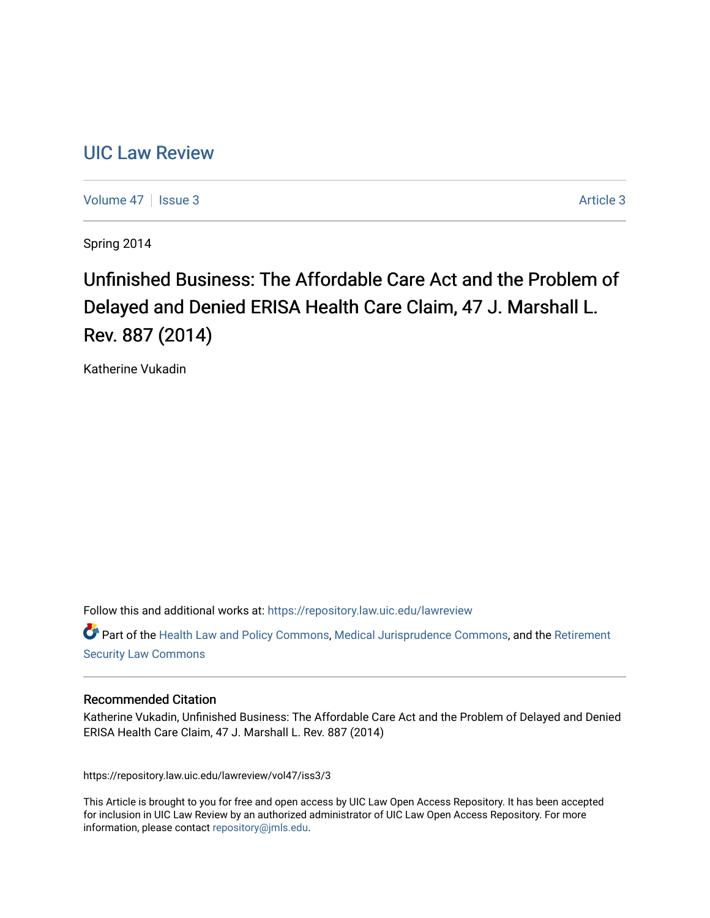## [UIC Law Review](https://repository.law.uic.edu/lawreview)

[Volume 47](https://repository.law.uic.edu/lawreview/vol47) | [Issue 3](https://repository.law.uic.edu/lawreview/vol47/iss3) Article 3

Spring 2014

# Unfinished Business: The Affordable Care Act and the Problem of Delayed and Denied ERISA Health Care Claim, 47 J. Marshall L. Rev. 887 (2014)

Katherine Vukadin

Follow this and additional works at: [https://repository.law.uic.edu/lawreview](https://repository.law.uic.edu/lawreview?utm_source=repository.law.uic.edu%2Flawreview%2Fvol47%2Fiss3%2F3&utm_medium=PDF&utm_campaign=PDFCoverPages) 

Part of the [Health Law and Policy Commons](http://network.bepress.com/hgg/discipline/901?utm_source=repository.law.uic.edu%2Flawreview%2Fvol47%2Fiss3%2F3&utm_medium=PDF&utm_campaign=PDFCoverPages), [Medical Jurisprudence Commons](http://network.bepress.com/hgg/discipline/860?utm_source=repository.law.uic.edu%2Flawreview%2Fvol47%2Fiss3%2F3&utm_medium=PDF&utm_campaign=PDFCoverPages), and the [Retirement](http://network.bepress.com/hgg/discipline/873?utm_source=repository.law.uic.edu%2Flawreview%2Fvol47%2Fiss3%2F3&utm_medium=PDF&utm_campaign=PDFCoverPages)  [Security Law Commons](http://network.bepress.com/hgg/discipline/873?utm_source=repository.law.uic.edu%2Flawreview%2Fvol47%2Fiss3%2F3&utm_medium=PDF&utm_campaign=PDFCoverPages)

#### Recommended Citation

Katherine Vukadin, Unfinished Business: The Affordable Care Act and the Problem of Delayed and Denied ERISA Health Care Claim, 47 J. Marshall L. Rev. 887 (2014)

https://repository.law.uic.edu/lawreview/vol47/iss3/3

This Article is brought to you for free and open access by UIC Law Open Access Repository. It has been accepted for inclusion in UIC Law Review by an authorized administrator of UIC Law Open Access Repository. For more information, please contact [repository@jmls.edu.](mailto:repository@jmls.edu)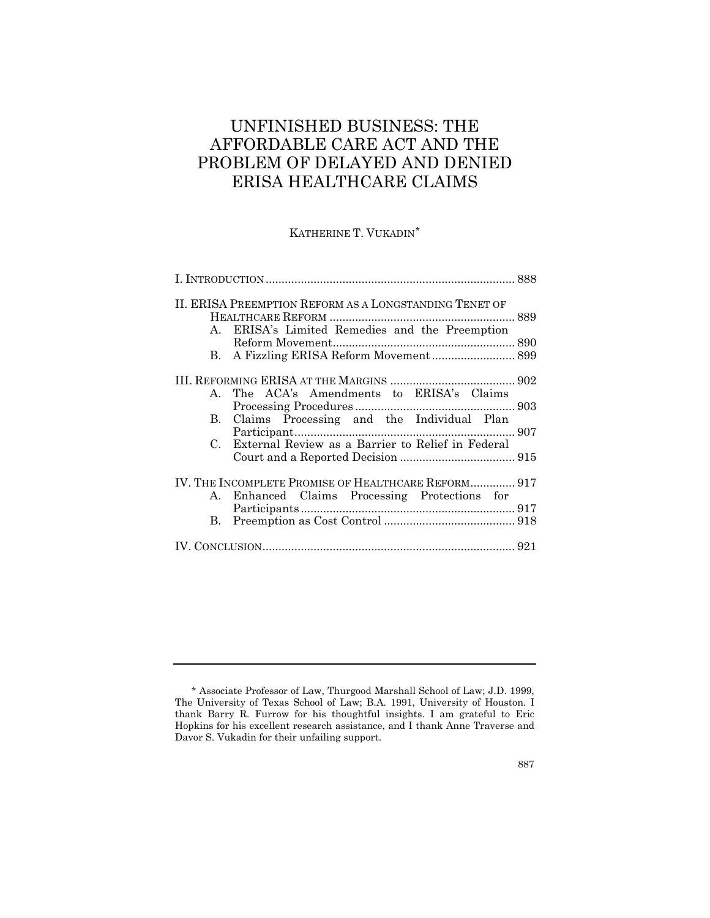## UNFINISHED BUSINESS: THE AFFORDABLE CARE ACT AND THE PROBLEM OF DELAYED AND DENIED ERISA HEALTHCARE CLAIMS

## KATHERINE T. VUKADIN[\\*](#page-1-0)

| II. ERISA PREEMPTION REFORM AS A LONGSTANDING TENET OF                                                                                                                                                                                                                                                                                                                                                                                               |  |
|------------------------------------------------------------------------------------------------------------------------------------------------------------------------------------------------------------------------------------------------------------------------------------------------------------------------------------------------------------------------------------------------------------------------------------------------------|--|
| A. ERISA's Limited Remedies and the Preemption                                                                                                                                                                                                                                                                                                                                                                                                       |  |
| The ACA's Amendments to ERISA's Claims<br>$\mathbf{A}$                                                                                                                                                                                                                                                                                                                                                                                               |  |
| B. Claims Processing and the Individual Plan                                                                                                                                                                                                                                                                                                                                                                                                         |  |
| External Review as a Barrier to Relief in Federal<br>C.                                                                                                                                                                                                                                                                                                                                                                                              |  |
| IV. THE INCOMPLETE PROMISE OF HEALTHCARE REFORM 917<br>Enhanced Claims Processing Protections for<br>A.                                                                                                                                                                                                                                                                                                                                              |  |
| $\begin{minipage}{.4\linewidth} \textbf{Preemption as Cost Control} \textbf{.} \textbf{.} \textbf{.} \textbf{.} \textbf{.} \textbf{.} \textbf{.} \textbf{.} \textbf{.} \textbf{.} \textbf{.} \textbf{.} \textbf{.} \textbf{.} \textbf{.} \textbf{.} \textbf{.} \textbf{.} \textbf{.} \textbf{.} \textbf{.} \textbf{.} \textbf{.} \textbf{.} \textbf{.} \textbf{.} \textbf{.} \textbf{.} \textbf{.} \textbf{.} \textbf{.} \textbf{.} \textbf{.$<br>B. |  |
|                                                                                                                                                                                                                                                                                                                                                                                                                                                      |  |

<span id="page-1-0"></span><sup>\*</sup> Associate Professor of Law, Thurgood Marshall School of Law; J.D. 1999, The University of Texas School of Law; B.A. 1991, University of Houston. I thank Barry R. Furrow for his thoughtful insights. I am grateful to Eric Hopkins for his excellent research assistance, and I thank Anne Traverse and Davor S. Vukadin for their unfailing support.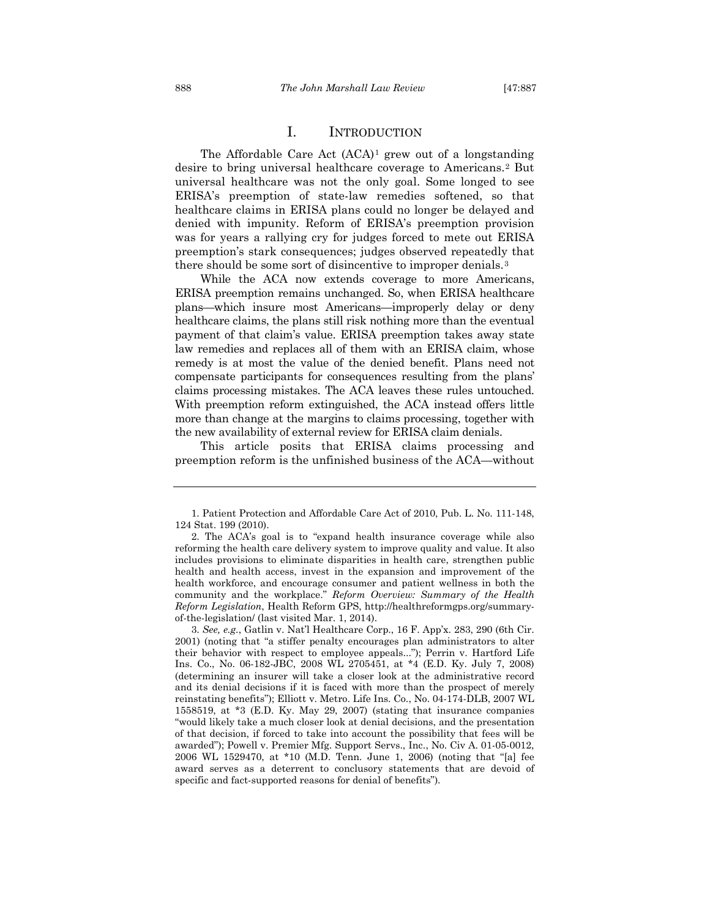### I. INTRODUCTION

The Affordable Care Act  $(ACA)^1$  $(ACA)^1$  grew out of a longstanding desire to bring universal healthcare coverage to Americans.[2](#page-2-1) But universal healthcare was not the only goal. Some longed to see ERISA's preemption of state-law remedies softened, so that healthcare claims in ERISA plans could no longer be delayed and denied with impunity. Reform of ERISA's preemption provision was for years a rallying cry for judges forced to mete out ERISA preemption's stark consequences; judges observed repeatedly that there should be some sort of disincentive to improper denials.[3](#page-2-2)

While the ACA now extends coverage to more Americans, ERISA preemption remains unchanged. So, when ERISA healthcare plans—which insure most Americans—improperly delay or deny healthcare claims, the plans still risk nothing more than the eventual payment of that claim's value. ERISA preemption takes away state law remedies and replaces all of them with an ERISA claim, whose remedy is at most the value of the denied benefit. Plans need not compensate participants for consequences resulting from the plans' claims processing mistakes. The ACA leaves these rules untouched. With preemption reform extinguished, the ACA instead offers little more than change at the margins to claims processing, together with the new availability of external review for ERISA claim denials.

This article posits that ERISA claims processing and preemption reform is the unfinished business of the ACA—without

<span id="page-2-0"></span><sup>1.</sup> Patient Protection and Affordable Care Act of 2010, Pub. L. No. 111-148, 124 Stat. 199 (2010).

<span id="page-2-1"></span><sup>2.</sup> The ACA's goal is to "expand health insurance coverage while also reforming the health care delivery system to improve quality and value. It also includes provisions to eliminate disparities in health care, strengthen public health and health access, invest in the expansion and improvement of the health workforce, and encourage consumer and patient wellness in both the community and the workplace." *Reform Overview: Summary of the Health Reform Legislation*, Health Reform GPS, http://healthreformgps.org/summaryof-the-legislation/ (last visited Mar. 1, 2014).

<span id="page-2-2"></span><sup>3.</sup> *See, e.g.*, Gatlin v. Nat'l Healthcare Corp., 16 F. App'x. 283, 290 (6th Cir. 2001) (noting that "a stiffer penalty encourages plan administrators to alter their behavior with respect to employee appeals..."); Perrin v. Hartford Life Ins. Co., No. 06-182-JBC, 2008 WL 2705451, at \*4 (E.D. Ky. July 7, 2008) (determining an insurer will take a closer look at the administrative record and its denial decisions if it is faced with more than the prospect of merely reinstating benefits"); Elliott v. Metro. Life Ins. Co., No. 04-174-DLB, 2007 WL 1558519, at \*3 (E.D. Ky. May 29, 2007) (stating that insurance companies "would likely take a much closer look at denial decisions, and the presentation of that decision, if forced to take into account the possibility that fees will be awarded"); Powell v. Premier Mfg. Support Servs., Inc., No. Civ A. 01-05-0012, 2006 WL 1529470, at \*10 (M.D. Tenn. June 1, 2006) (noting that "[a] fee award serves as a deterrent to conclusory statements that are devoid of specific and fact-supported reasons for denial of benefits").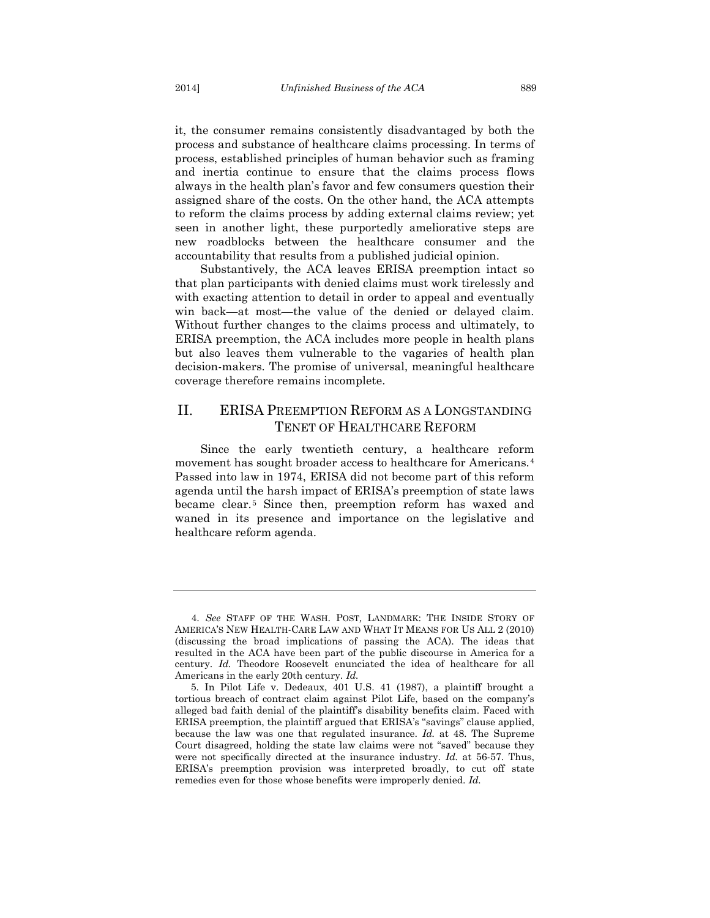it, the consumer remains consistently disadvantaged by both the process and substance of healthcare claims processing. In terms of process, established principles of human behavior such as framing and inertia continue to ensure that the claims process flows always in the health plan's favor and few consumers question their assigned share of the costs. On the other hand, the ACA attempts to reform the claims process by adding external claims review; yet seen in another light, these purportedly ameliorative steps are new roadblocks between the healthcare consumer and the accountability that results from a published judicial opinion.

Substantively, the ACA leaves ERISA preemption intact so that plan participants with denied claims must work tirelessly and with exacting attention to detail in order to appeal and eventually win back—at most—the value of the denied or delayed claim. Without further changes to the claims process and ultimately, to ERISA preemption, the ACA includes more people in health plans but also leaves them vulnerable to the vagaries of health plan decision-makers. The promise of universal, meaningful healthcare coverage therefore remains incomplete.

## II. ERISA PREEMPTION REFORM AS A LONGSTANDING TENET OF HEALTHCARE REFORM

<span id="page-3-2"></span>Since the early twentieth century, a healthcare reform movement has sought broader access to healthcare for Americans.<sup>[4](#page-3-0)</sup> Passed into law in 1974, ERISA did not become part of this reform agenda until the harsh impact of ERISA's preemption of state laws became clear.[5](#page-3-1) Since then, preemption reform has waxed and waned in its presence and importance on the legislative and healthcare reform agenda.

<span id="page-3-0"></span><sup>4.</sup> *See* STAFF OF THE WASH. POST*,* LANDMARK: THE INSIDE STORY OF AMERICA'S NEW HEALTH-CARE LAW AND WHAT IT MEANS FOR US ALL 2 (2010) (discussing the broad implications of passing the ACA). The ideas that resulted in the ACA have been part of the public discourse in America for a century. *Id.* Theodore Roosevelt enunciated the idea of healthcare for all Americans in the early 20th century. *Id.*

<span id="page-3-1"></span><sup>5.</sup> In Pilot Life v. Dedeaux, 401 U.S. 41 (1987), a plaintiff brought a tortious breach of contract claim against Pilot Life, based on the company's alleged bad faith denial of the plaintiff's disability benefits claim. Faced with ERISA preemption, the plaintiff argued that ERISA's "savings" clause applied, because the law was one that regulated insurance. *Id.* at 48. The Supreme Court disagreed, holding the state law claims were not "saved" because they were not specifically directed at the insurance industry. *Id.* at 56-57. Thus, ERISA's preemption provision was interpreted broadly, to cut off state remedies even for those whose benefits were improperly denied. *Id.*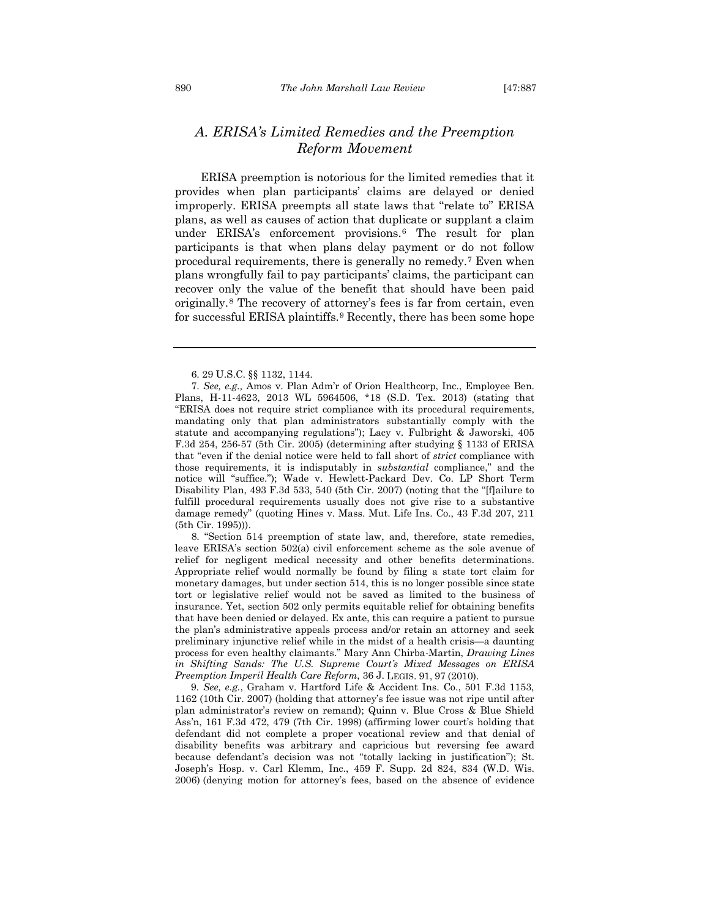## *A. ERISA's Limited Remedies and the Preemption Reform Movement*

ERISA preemption is notorious for the limited remedies that it provides when plan participants' claims are delayed or denied improperly. ERISA preempts all state laws that "relate to" ERISA plans, as well as causes of action that duplicate or supplant a claim under ERISA's enforcement provisions.[6](#page-4-0) The result for plan participants is that when plans delay payment or do not follow procedural requirements, there is generally no remedy.[7](#page-4-1) Even when plans wrongfully fail to pay participants' claims, the participant can recover only the value of the benefit that should have been paid originally.[8](#page-4-2) The recovery of attorney's fees is far from certain, even for successful ERISA plaintiffs.[9](#page-4-3) Recently, there has been some hope

<span id="page-4-2"></span>8. "Section 514 preemption of state law, and, therefore, state remedies, leave ERISA's section 502(a) civil enforcement scheme as the sole avenue of relief for negligent medical necessity and other benefits determinations. Appropriate relief would normally be found by filing a state tort claim for monetary damages, but under section 514, this is no longer possible since state tort or legislative relief would not be saved as limited to the business of insurance. Yet, section 502 only permits equitable relief for obtaining benefits that have been denied or delayed. Ex ante, this can require a patient to pursue the plan's administrative appeals process and/or retain an attorney and seek preliminary injunctive relief while in the midst of a health crisis—a daunting process for even healthy claimants." Mary Ann Chirba-Martin, *Drawing Lines in Shifting Sands: The U.S. Supreme Court's Mixed Messages on ERISA Preemption Imperil Health Care Reform*, 36 J. LEGIS. 91, 97 (2010).

<span id="page-4-3"></span>9. *See, e.g.*, Graham v. Hartford Life & Accident Ins. Co., 501 F.3d 1153, 1162 (10th Cir. 2007) (holding that attorney's fee issue was not ripe until after plan administrator's review on remand); Quinn v. Blue Cross & Blue Shield Ass'n, 161 F.3d 472, 479 (7th Cir. 1998) (affirming lower court's holding that defendant did not complete a proper vocational review and that denial of disability benefits was arbitrary and capricious but reversing fee award because defendant's decision was not "totally lacking in justification"); St. Joseph's Hosp. v. Carl Klemm, Inc., 459 F. Supp. 2d 824, 834 (W.D. Wis. 2006) (denying motion for attorney's fees, based on the absence of evidence

<span id="page-4-4"></span><sup>6.</sup> 29 U.S.C. §§ 1132, 1144.

<span id="page-4-1"></span><span id="page-4-0"></span><sup>7.</sup> *See, e.g.,* Amos v. Plan Adm'r of Orion Healthcorp, Inc., Employee Ben. Plans, H-11-4623, 2013 WL 5964506, \*18 (S.D. Tex. 2013) (stating that "ERISA does not require strict compliance with its procedural requirements, mandating only that plan administrators substantially comply with the statute and accompanying regulations"); Lacy v. Fulbright & Jaworski, 405 F.3d 254, 256-57 (5th Cir. 2005) (determining after studying § 1133 of ERISA that "even if the denial notice were held to fall short of *strict* compliance with those requirements, it is indisputably in *substantial* compliance," and the notice will "suffice."); Wade v. Hewlett-Packard Dev. Co. LP Short Term Disability Plan, 493 F.3d 533, 540 (5th Cir. 2007) (noting that the "[f]ailure to fulfill procedural requirements usually does not give rise to a substantive damage remedy" (quoting Hines v. Mass. Mut. Life Ins. Co., 43 F.3d 207, 211 (5th Cir. 1995))).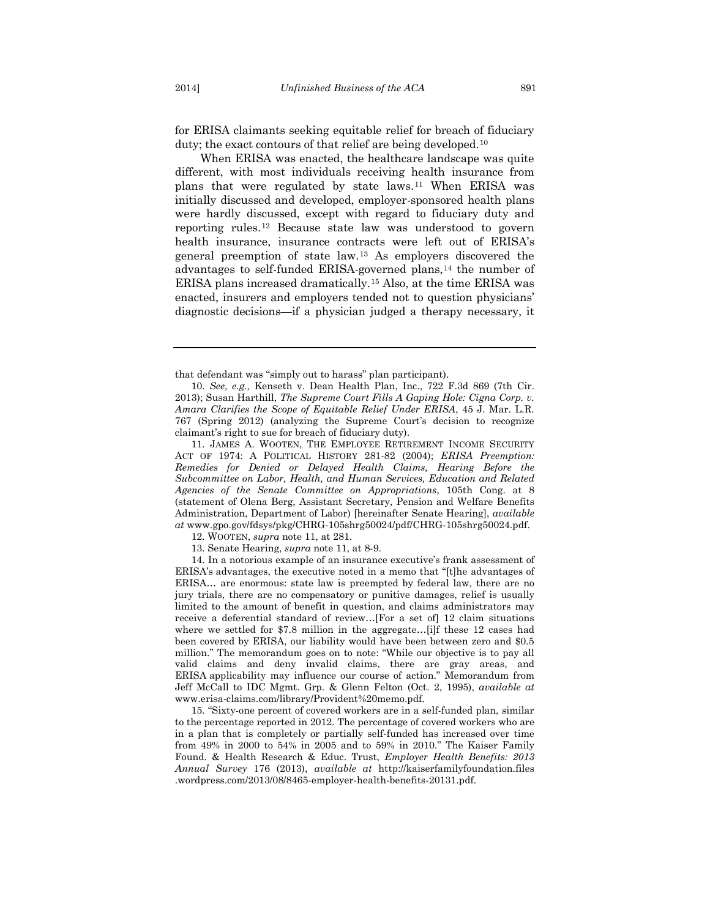for ERISA claimants seeking equitable relief for breach of fiduciary duty; the exact contours of that relief are being developed.<sup>[10](#page-5-1)</sup>

<span id="page-5-0"></span>When ERISA was enacted, the healthcare landscape was quite different, with most individuals receiving health insurance from plans that were regulated by state laws.[11](#page-5-2) When ERISA was initially discussed and developed, employer-sponsored health plans were hardly discussed, except with regard to fiduciary duty and reporting rules.[12](#page-5-3) Because state law was understood to govern health insurance, insurance contracts were left out of ERISA's general preemption of state law.[13](#page-5-4) As employers discovered the advantages to self-funded ERISA-governed plans,<sup>[14](#page-5-5)</sup> the number of ERISA plans increased dramatically.[15](#page-5-6) Also, at the time ERISA was enacted, insurers and employers tended not to question physicians' diagnostic decisions—if a physician judged a therapy necessary, it

<span id="page-5-2"></span>11. JAMES A. WOOTEN, THE EMPLOYEE RETIREMENT INCOME SECURITY ACT OF 1974: A POLITICAL HISTORY 281-82 (2004); *ERISA Preemption: Remedies for Denied or Delayed Health Claims, Hearing Before the Subcommittee on Labor, Health, and Human Services, Education and Related Agencies of the Senate Committee on Appropriations*, 105th Cong. at 8 (statement of Olena Berg, Assistant Secretary, Pension and Welfare Benefits Administration, Department of Labor) [hereinafter Senate Hearing], *available at* www.gpo.gov/fdsys/pkg/CHRG-105shrg50024/pdf/CHRG-105shrg50024.pdf.

12. WOOTEN, *supra* note [11,](#page-5-0) at 281.

13. Senate Hearing, *supra* note [11,](#page-5-0) at 8-9.

<span id="page-5-5"></span><span id="page-5-4"></span><span id="page-5-3"></span>14. In a notorious example of an insurance executive's frank assessment of ERISA's advantages, the executive noted in a memo that "[t]he advantages of ERISA… are enormous: state law is preempted by federal law, there are no jury trials, there are no compensatory or punitive damages, relief is usually limited to the amount of benefit in question, and claims administrators may receive a deferential standard of review…[For a set of] 12 claim situations where we settled for \$7.8 million in the aggregate…[i]f these 12 cases had been covered by ERISA, our liability would have been between zero and \$0.5 million." The memorandum goes on to note: "While our objective is to pay all valid claims and deny invalid claims, there are gray areas, and ERISA applicability may influence our course of action." Memorandum from Jeff McCall to IDC Mgmt. Grp. & Glenn Felton (Oct. 2, 1995), *available at* www.erisa-claims.com/library/Provident%20memo.pdf.

<span id="page-5-6"></span>15. "Sixty-one percent of covered workers are in a self-funded plan, similar to the percentage reported in 2012. The percentage of covered workers who are in a plan that is completely or partially self-funded has increased over time from 49% in 2000 to 54% in 2005 and to 59% in 2010." The Kaiser Family Found. & Health Research & Educ. Trust, *Employer Health Benefits: 2013 Annual Survey* 176 (2013), *available at* http://kaiserfamilyfoundation.files .wordpress.com/2013/08/8465-employer-health-benefits-20131.pdf.

that defendant was "simply out to harass" plan participant).

<span id="page-5-1"></span><sup>10.</sup> *See, e.g.,* Kenseth v. Dean Health Plan, Inc., 722 F.3d 869 (7th Cir. 2013); Susan Harthill, *The Supreme Court Fills A Gaping Hole: Cigna Corp. v. Amara Clarifies the Scope of Equitable Relief Under ERISA*, 45 J. Mar. L.R. 767 (Spring 2012) (analyzing the Supreme Court's decision to recognize claimant's right to sue for breach of fiduciary duty).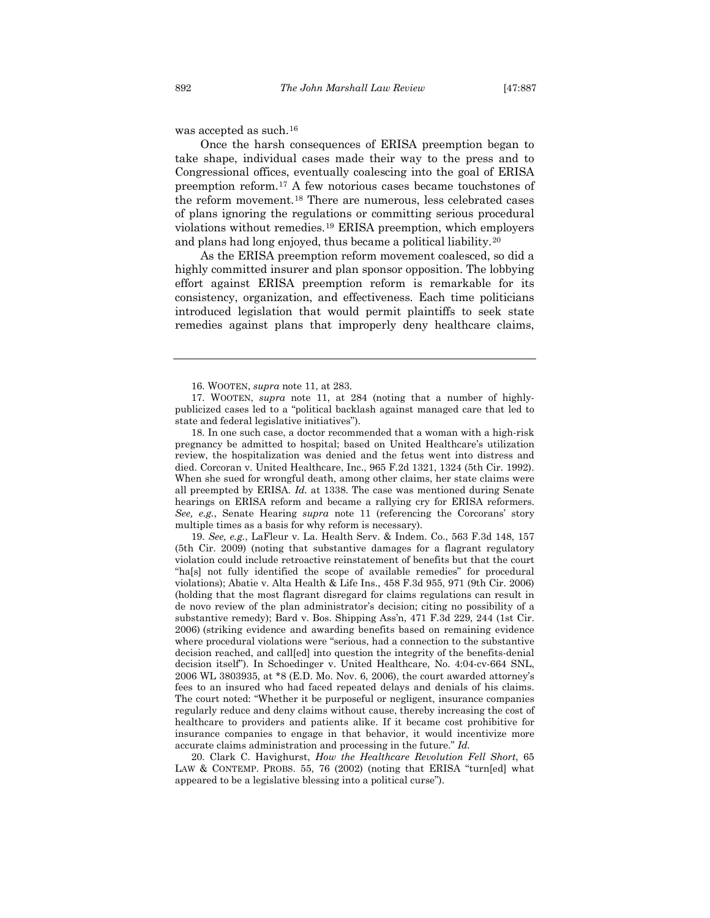was accepted as such.<sup>[16](#page-6-0)</sup>

Once the harsh consequences of ERISA preemption began to take shape, individual cases made their way to the press and to Congressional offices, eventually coalescing into the goal of ERISA preemption reform.[17](#page-6-1) A few notorious cases became touchstones of the reform movement.[18](#page-6-2) There are numerous, less celebrated cases of plans ignoring the regulations or committing serious procedural violations without remedies.[19](#page-6-3) ERISA preemption, which employers and plans had long enjoyed, thus became a political liability.[20](#page-6-4)

<span id="page-6-5"></span>As the ERISA preemption reform movement coalesced, so did a highly committed insurer and plan sponsor opposition. The lobbying effort against ERISA preemption reform is remarkable for its consistency, organization, and effectiveness. Each time politicians introduced legislation that would permit plaintiffs to seek state remedies against plans that improperly deny healthcare claims,

<span id="page-6-2"></span>18. In one such case, a doctor recommended that a woman with a high-risk pregnancy be admitted to hospital; based on United Healthcare's utilization review, the hospitalization was denied and the fetus went into distress and died. Corcoran v. United Healthcare, Inc., 965 F.2d 1321, 1324 (5th Cir. 1992). When she sued for wrongful death, among other claims, her state claims were all preempted by ERISA*. Id.* at 1338. The case was mentioned during Senate hearings on ERISA reform and became a rallying cry for ERISA reformers. *See, e.g.*, Senate Hearing *supra* note [11](#page-5-0) (referencing the Corcorans' story multiple times as a basis for why reform is necessary).

<span id="page-6-3"></span>19. *See, e.g.*, LaFleur v. La. Health Serv. & Indem. Co., 563 F.3d 148, 157 (5th Cir. 2009) (noting that substantive damages for a flagrant regulatory violation could include retroactive reinstatement of benefits but that the court "ha[s] not fully identified the scope of available remedies" for procedural violations); Abatie v. Alta Health & Life Ins., 458 F.3d 955, 971 (9th Cir. 2006) (holding that the most flagrant disregard for claims regulations can result in de novo review of the plan administrator's decision; citing no possibility of a substantive remedy); Bard v. Bos. Shipping Ass'n, 471 F.3d 229, 244 (1st Cir. 2006) (striking evidence and awarding benefits based on remaining evidence where procedural violations were "serious, had a connection to the substantive decision reached, and call[ed] into question the integrity of the benefits-denial decision itself"). In Schoedinger v. United Healthcare, No. 4:04-cv-664 SNL, 2006 WL 3803935, at \*8 (E.D. Mo. Nov. 6, 2006), the court awarded attorney's fees to an insured who had faced repeated delays and denials of his claims. The court noted: "Whether it be purposeful or negligent, insurance companies regularly reduce and deny claims without cause, thereby increasing the cost of healthcare to providers and patients alike. If it became cost prohibitive for insurance companies to engage in that behavior, it would incentivize more accurate claims administration and processing in the future." *Id.*

<span id="page-6-4"></span>20. Clark C. Havighurst, *How the Healthcare Revolution Fell Short*, 65 LAW & CONTEMP. PROBS. 55, 76 (2002) (noting that ERISA "turn[ed] what appeared to be a legislative blessing into a political curse").

<sup>16.</sup> WOOTEN, *supra* note [11,](#page-5-0) at 283.

<span id="page-6-1"></span><span id="page-6-0"></span><sup>17.</sup> WOOTEN, *supra* note [11,](#page-5-0) at 284 (noting that a number of highlypublicized cases led to a "political backlash against managed care that led to state and federal legislative initiatives").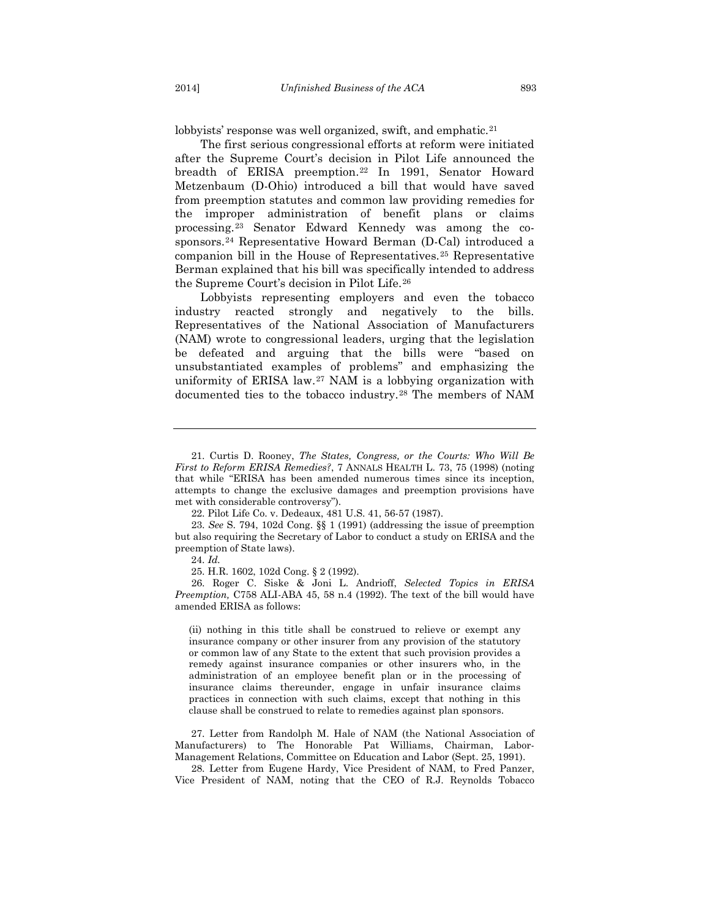<span id="page-7-8"></span>

lobbyists' response was well organized, swift, and emphatic.<sup>[21](#page-7-0)</sup>

The first serious congressional efforts at reform were initiated after the Supreme Court's decision in Pilot Life announced the breadth of ERISA preemption.[22](#page-7-1) In 1991, Senator Howard Metzenbaum (D-Ohio) introduced a bill that would have saved from preemption statutes and common law providing remedies for the improper administration of benefit plans or claims processing.[23](#page-7-2) Senator Edward Kennedy was among the cosponsors.[24](#page-7-3) Representative Howard Berman (D-Cal) introduced a companion bill in the House of Representatives.[25](#page-7-4) Representative Berman explained that his bill was specifically intended to address the Supreme Court's decision in Pilot Life.[26](#page-7-5)

Lobbyists representing employers and even the tobacco industry reacted strongly and negatively to the bills. Representatives of the National Association of Manufacturers (NAM) wrote to congressional leaders, urging that the legislation be defeated and arguing that the bills were "based on unsubstantiated examples of problems" and emphasizing the uniformity of ERISA law.[27](#page-7-6) NAM is a lobbying organization with documented ties to the tobacco industry.[28](#page-7-7) The members of NAM

<span id="page-7-2"></span><span id="page-7-1"></span>23. *See* S. 794, 102d Cong. §§ 1 (1991) (addressing the issue of preemption but also requiring the Secretary of Labor to conduct a study on ERISA and the preemption of State laws).

24. *Id.*

<span id="page-7-5"></span><span id="page-7-4"></span><span id="page-7-3"></span>26. Roger C. Siske & Joni L. Andrioff, *Selected Topics in ERISA Preemption,* C758 ALI-ABA 45, 58 n.4 (1992). The text of the bill would have amended ERISA as follows:

(ii) nothing in this title shall be construed to relieve or exempt any insurance company or other insurer from any provision of the statutory or common law of any State to the extent that such provision provides a remedy against insurance companies or other insurers who, in the administration of an employee benefit plan or in the processing of insurance claims thereunder, engage in unfair insurance claims practices in connection with such claims, except that nothing in this clause shall be construed to relate to remedies against plan sponsors.

<span id="page-7-6"></span>27. Letter from Randolph M. Hale of NAM (the National Association of Manufacturers) to The Honorable Pat Williams, Chairman, Labor-Management Relations, Committee on Education and Labor (Sept. 25, 1991).

<span id="page-7-7"></span>28. Letter from Eugene Hardy, Vice President of NAM, to Fred Panzer, Vice President of NAM, noting that the CEO of R.J. Reynolds Tobacco

<span id="page-7-0"></span><sup>21.</sup> Curtis D. Rooney, *The States, Congress, or the Courts: Who Will Be First to Reform ERISA Remedies?*, 7 ANNALS HEALTH L. 73, 75 (1998) (noting that while "ERISA has been amended numerous times since its inception, attempts to change the exclusive damages and preemption provisions have met with considerable controversy").

<sup>22.</sup> Pilot Life Co. v. Dedeaux, 481 U.S. 41, 56-57 (1987).

<sup>25.</sup> H.R. 1602, 102d Cong. § 2 (1992).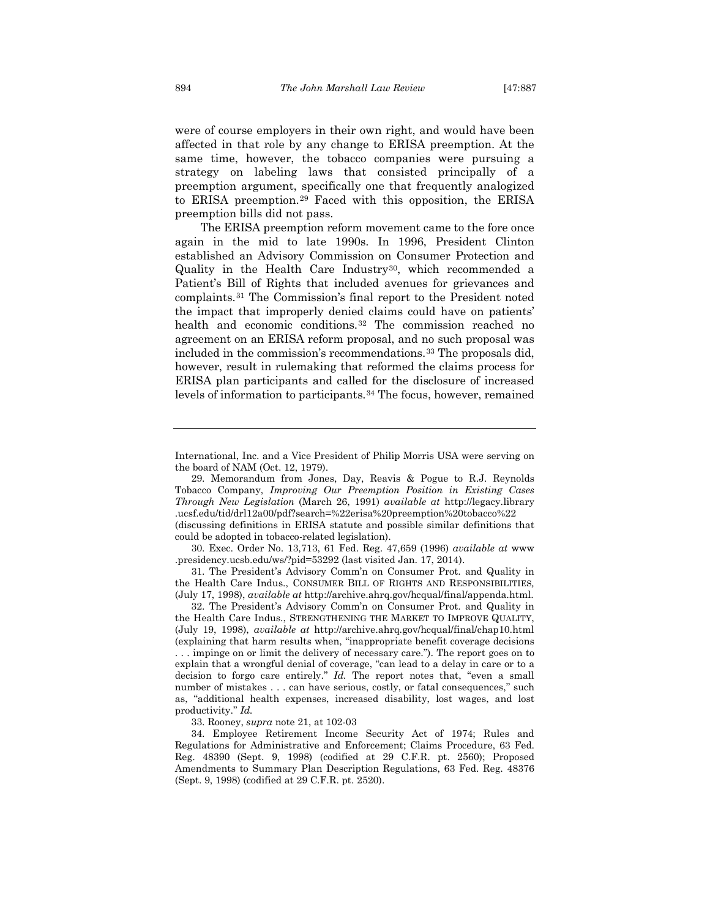were of course employers in their own right, and would have been affected in that role by any change to ERISA preemption. At the same time, however, the tobacco companies were pursuing a strategy on labeling laws that consisted principally of a preemption argument, specifically one that frequently analogized to ERISA preemption.[29](#page-8-0) Faced with this opposition, the ERISA preemption bills did not pass.

The ERISA preemption reform movement came to the fore once again in the mid to late 1990s. In 1996, President Clinton established an Advisory Commission on Consumer Protection and Quality in the Health Care Industry<sup>30</sup>, which recommended a Patient's Bill of Rights that included avenues for grievances and complaints.[31](#page-8-2) The Commission's final report to the President noted the impact that improperly denied claims could have on patients' health and economic conditions.[32](#page-8-3) The commission reached no agreement on an ERISA reform proposal, and no such proposal was included in the commission's recommendations.[33](#page-8-4) The proposals did, however, result in rulemaking that reformed the claims process for ERISA plan participants and called for the disclosure of increased levels of information to participants.<sup>[34](#page-8-5)</sup> The focus, however, remained

<span id="page-8-0"></span>29. Memorandum from Jones, Day, Reavis & Pogue to R.J. Reynolds Tobacco Company, *Improving Our Preemption Position in Existing Cases Through New Legislation* (March 26, 1991) *available at* http://legacy.library .ucsf.edu/tid/drl12a00/pdf?search=%22erisa%20preemption%20tobacco%22

(discussing definitions in ERISA statute and possible similar definitions that could be adopted in tobacco-related legislation).

<span id="page-8-1"></span>30. Exec. Order No. 13,713, 61 Fed. Reg. 47,659 (1996) *available at* www .presidency.ucsb.edu/ws/?pid=53292 (last visited Jan. 17, 2014).

<span id="page-8-2"></span>31. The President's Advisory Comm'n on Consumer Prot. and Quality in the Health Care Indus., CONSUMER BILL OF RIGHTS AND RESPONSIBILITIES*,*  (July 17, 1998), *available at* http://archive.ahrq.gov/hcqual/final/appenda.html.

<span id="page-8-3"></span>32. The President's Advisory Comm'n on Consumer Prot. and Quality in the Health Care Indus., STRENGTHENING THE MARKET TO IMPROVE QUALITY, (July 19, 1998), *available at* http://archive.ahrq.gov/hcqual/final/chap10.html (explaining that harm results when, ''inappropriate benefit coverage decisions . . . impinge on or limit the delivery of necessary care.''). The report goes on to explain that a wrongful denial of coverage, ''can lead to a delay in care or to a decision to forgo care entirely." *Id.* The report notes that, "even a small number of mistakes . . . can have serious, costly, or fatal consequences," such as, "additional health expenses, increased disability, lost wages, and lost productivity.'' *Id.*

33. Rooney, *supra* note [21,](#page-7-8) at 102-03

<span id="page-8-5"></span><span id="page-8-4"></span>34. Employee Retirement Income Security Act of 1974; Rules and Regulations for Administrative and Enforcement; Claims Procedure, 63 Fed. Reg. 48390 (Sept. 9, 1998) (codified at 29 C.F.R. pt. 2560); Proposed Amendments to Summary Plan Description Regulations, 63 Fed. Reg. 48376 (Sept. 9, 1998) (codified at 29 C.F.R. pt. 2520).

International, Inc. and a Vice President of Philip Morris USA were serving on the board of NAM (Oct. 12, 1979).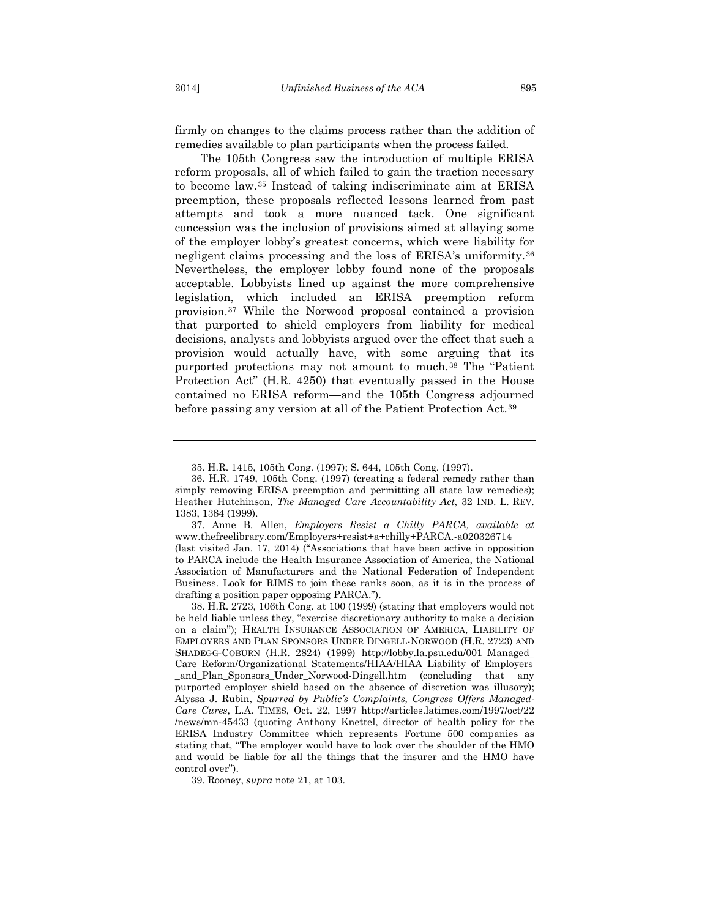firmly on changes to the claims process rather than the addition of remedies available to plan participants when the process failed.

The 105th Congress saw the introduction of multiple ERISA reform proposals, all of which failed to gain the traction necessary to become law.[35](#page-9-0) Instead of taking indiscriminate aim at ERISA preemption, these proposals reflected lessons learned from past attempts and took a more nuanced tack. One significant concession was the inclusion of provisions aimed at allaying some of the employer lobby's greatest concerns, which were liability for negligent claims processing and the loss of ERISA's uniformity.[36](#page-9-1) Nevertheless, the employer lobby found none of the proposals acceptable. Lobbyists lined up against the more comprehensive legislation, which included an ERISA preemption reform provision.[37](#page-9-2) While the Norwood proposal contained a provision that purported to shield employers from liability for medical decisions, analysts and lobbyists argued over the effect that such a provision would actually have, with some arguing that its purported protections may not amount to much.[38](#page-9-3) The "Patient Protection Act" (H.R. 4250) that eventually passed in the House contained no ERISA reform—and the 105th Congress adjourned before passing any version at all of the Patient Protection Act.[39](#page-9-4)

<span id="page-9-4"></span>39. Rooney, *supra* note [21,](#page-7-8) at 103.

<sup>35.</sup> H.R. 1415, 105th Cong. (1997); S. 644, 105th Cong. (1997).

<span id="page-9-1"></span><span id="page-9-0"></span><sup>36.</sup> H.R. 1749, 105th Cong. (1997) (creating a federal remedy rather than simply removing ERISA preemption and permitting all state law remedies); Heather Hutchinson, *The Managed Care Accountability Act*, 32 IND. L. REV. 1383, 1384 (1999).

<span id="page-9-2"></span><sup>37.</sup> Anne B. Allen, *Employers Resist a Chilly PARCA, available at* www.thefreelibrary.com/Employers+resist+a+chilly+PARCA.-a020326714 (last visited Jan. 17, 2014) ("Associations that have been active in opposition to PARCA include the Health Insurance Association of America, the National Association of Manufacturers and the National Federation of Independent Business. Look for RIMS to join these ranks soon, as it is in the process of drafting a position paper opposing PARCA.").

<span id="page-9-3"></span><sup>38.</sup> H.R. 2723, 106th Cong. at 100 (1999) (stating that employers would not be held liable unless they, "exercise discretionary authority to make a decision on a claim"); HEALTH INSURANCE ASSOCIATION OF AMERICA, LIABILITY OF EMPLOYERS AND PLAN SPONSORS UNDER DINGELL-NORWOOD (H.R. 2723) AND SHADEGG-COBURN (H.R. 2824) (1999) http://lobby.la.psu.edu/001\_Managed\_ Care\_Reform/Organizational\_Statements/HIAA/HIAA\_Liability\_of\_Employers \_and\_Plan\_Sponsors\_Under\_Norwood-Dingell.htm (concluding that any purported employer shield based on the absence of discretion was illusory); Alyssa J. Rubin, *Spurred by Public's Complaints, Congress Offers Managed-Care Cures*, L.A. TIMES, Oct. 22, 1997 http://articles.latimes.com/1997/oct/22 /news/mn-45433 (quoting Anthony Knettel, director of health policy for the ERISA Industry Committee which represents Fortune 500 companies as stating that, "The employer would have to look over the shoulder of the HMO and would be liable for all the things that the insurer and the HMO have control over").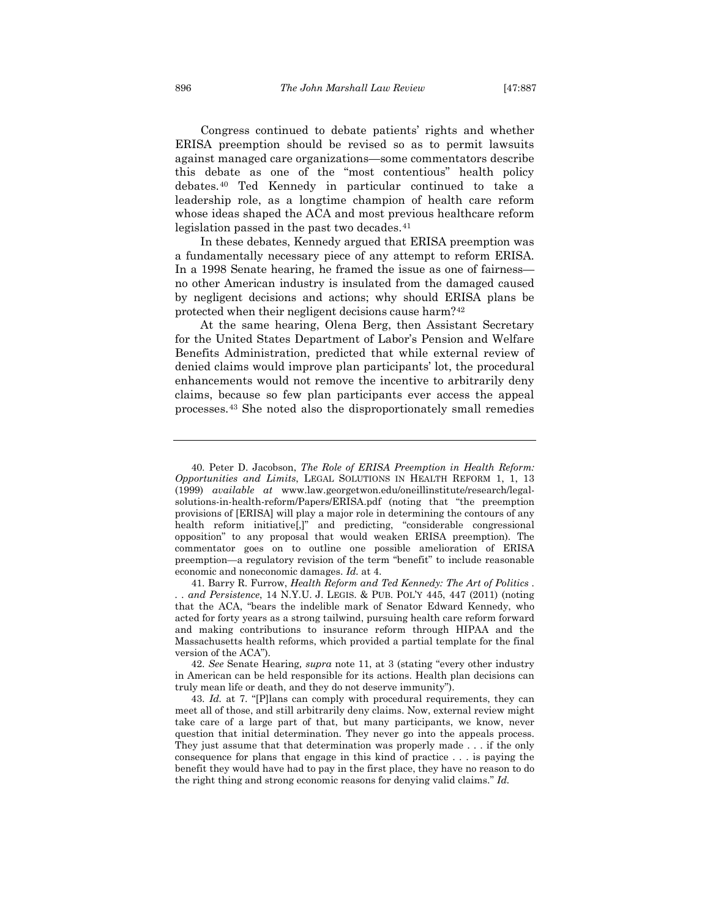Congress continued to debate patients' rights and whether ERISA preemption should be revised so as to permit lawsuits against managed care organizations—some commentators describe this debate as one of the "most contentious" health policy debates.[40](#page-10-0) Ted Kennedy in particular continued to take a leadership role, as a longtime champion of health care reform whose ideas shaped the ACA and most previous healthcare reform legislation passed in the past two decades.<sup>[41](#page-10-1)</sup>

In these debates, Kennedy argued that ERISA preemption was a fundamentally necessary piece of any attempt to reform ERISA. In a 1998 Senate hearing, he framed the issue as one of fairness no other American industry is insulated from the damaged caused by negligent decisions and actions; why should ERISA plans be protected when their negligent decisions cause harm?[42](#page-10-2)

At the same hearing, Olena Berg, then Assistant Secretary for the United States Department of Labor's Pension and Welfare Benefits Administration, predicted that while external review of denied claims would improve plan participants' lot, the procedural enhancements would not remove the incentive to arbitrarily deny claims, because so few plan participants ever access the appeal processes.[43](#page-10-3) She noted also the disproportionately small remedies

<span id="page-10-1"></span>41. Barry R. Furrow, *Health Reform and Ted Kennedy: The Art of Politics . . . and Persistence*, 14 N.Y.U. J. LEGIS. & PUB. POL'Y 445, 447 (2011) (noting that the ACA, "bears the indelible mark of Senator Edward Kennedy, who acted for forty years as a strong tailwind, pursuing health care reform forward and making contributions to insurance reform through HIPAA and the Massachusetts health reforms, which provided a partial template for the final version of the ACA").

<span id="page-10-2"></span>42. *See* Senate Hearing*, supra* note [11,](#page-5-0) at 3 (stating "every other industry in American can be held responsible for its actions. Health plan decisions can truly mean life or death, and they do not deserve immunity").

<span id="page-10-3"></span>43. *Id.* at 7. "[P]lans can comply with procedural requirements, they can meet all of those, and still arbitrarily deny claims. Now, external review might take care of a large part of that, but many participants, we know, never question that initial determination. They never go into the appeals process. They just assume that that determination was properly made . . . if the only consequence for plans that engage in this kind of practice . . . is paying the benefit they would have had to pay in the first place, they have no reason to do the right thing and strong economic reasons for denying valid claims." *Id.*

<span id="page-10-0"></span><sup>40.</sup> Peter D. Jacobson, *The Role of ERISA Preemption in Health Reform: Opportunities and Limits*, LEGAL SOLUTIONS IN HEALTH REFORM 1, 1, 13 (1999) *available at* www.law.georgetwon.edu/oneillinstitute/research/legalsolutions-in-health-reform/Papers/ERISA.pdf (noting that "the preemption provisions of [ERISA] will play a major role in determining the contours of any health reform initiative[,]" and predicting, "considerable congressional opposition" to any proposal that would weaken ERISA preemption). The commentator goes on to outline one possible amelioration of ERISA preemption—a regulatory revision of the term "benefit" to include reasonable economic and noneconomic damages. *Id.* at 4.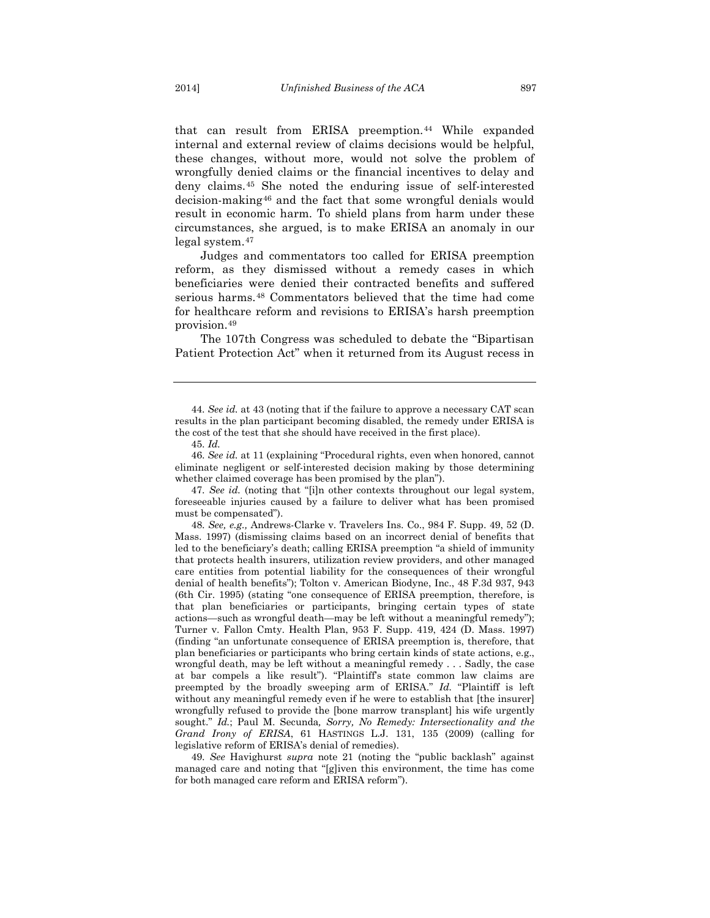that can result from ERISA preemption.<sup>[44](#page-11-0)</sup> While expanded internal and external review of claims decisions would be helpful, these changes, without more, would not solve the problem of wrongfully denied claims or the financial incentives to delay and deny claims.[45](#page-11-1) She noted the enduring issue of self-interested decision-making[46](#page-11-2) and the fact that some wrongful denials would result in economic harm. To shield plans from harm under these circumstances, she argued, is to make ERISA an anomaly in our legal system.[47](#page-11-3)

Judges and commentators too called for ERISA preemption reform, as they dismissed without a remedy cases in which beneficiaries were denied their contracted benefits and suffered serious harms.<sup>[48](#page-11-4)</sup> Commentators believed that the time had come for healthcare reform and revisions to ERISA's harsh preemption provision.[49](#page-11-5)

The 107th Congress was scheduled to debate the "Bipartisan Patient Protection Act" when it returned from its August recess in

45. *Id.*

<span id="page-11-2"></span><span id="page-11-1"></span>46. *See id.* at 11 (explaining "Procedural rights, even when honored, cannot eliminate negligent or self-interested decision making by those determining whether claimed coverage has been promised by the plan").

<span id="page-11-3"></span>47. *See id.* (noting that "[i]n other contexts throughout our legal system, foreseeable injuries caused by a failure to deliver what has been promised must be compensated").

<span id="page-11-4"></span>48. *See, e.g.,* Andrews-Clarke v. Travelers Ins. Co., 984 F. Supp. 49, 52 (D. Mass. 1997) (dismissing claims based on an incorrect denial of benefits that led to the beneficiary's death; calling ERISA preemption "a shield of immunity that protects health insurers, utilization review providers, and other managed care entities from potential liability for the consequences of their wrongful denial of health benefits"); Tolton v. American Biodyne, Inc., 48 F.3d 937, 943 (6th Cir. 1995) (stating "one consequence of ERISA preemption, therefore, is that plan beneficiaries or participants, bringing certain types of state actions—such as wrongful death—may be left without a meaningful remedy"); Turner v. Fallon Cmty. Health Plan, 953 F. Supp. 419, 424 (D. Mass. 1997) (finding "an unfortunate consequence of ERISA preemption is, therefore, that plan beneficiaries or participants who bring certain kinds of state actions, e.g., wrongful death, may be left without a meaningful remedy . . . Sadly, the case at bar compels a like result"). "Plaintiff's state common law claims are preempted by the broadly sweeping arm of ERISA." *Id.* "Plaintiff is left without any meaningful remedy even if he were to establish that [the insurer] wrongfully refused to provide the [bone marrow transplant] his wife urgently sought." *Id.*; Paul M. Secunda*, Sorry, No Remedy: Intersectionality and the Grand Irony of ERISA*, 61 HASTINGS L.J. 131, 135 (2009) (calling for legislative reform of ERISA's denial of remedies).

<span id="page-11-5"></span>49. *See* Havighurst *supra* note [21](#page-7-8) (noting the "public backlash" against managed care and noting that "[g]iven this environment, the time has come for both managed care reform and ERISA reform").

<span id="page-11-0"></span><sup>44.</sup> *See id.* at 43 (noting that if the failure to approve a necessary CAT scan results in the plan participant becoming disabled, the remedy under ERISA is the cost of the test that she should have received in the first place).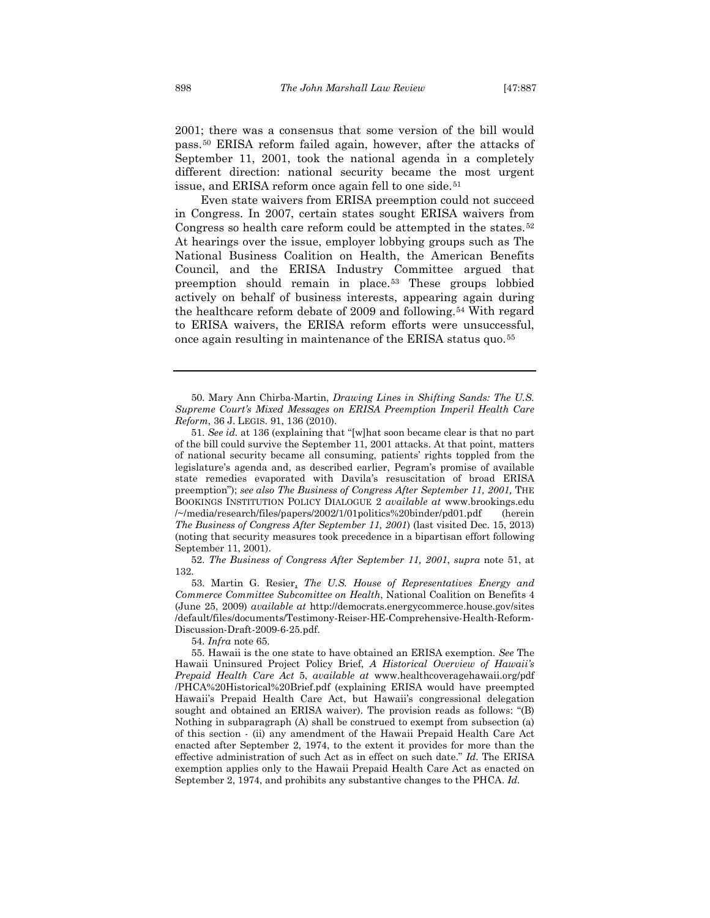2001; there was a consensus that some version of the bill would pass.[50](#page-12-0) ERISA reform failed again, however, after the attacks of September 11, 2001, took the national agenda in a completely different direction: national security became the most urgent issue, and ERISA reform once again fell to one side.<sup>[51](#page-12-1)</sup>

Even state waivers from ERISA preemption could not succeed in Congress. In 2007, certain states sought ERISA waivers from Congress so health care reform could be attempted in the states.<sup>[52](#page-12-2)</sup> At hearings over the issue, employer lobbying groups such as The National Business Coalition on Health, the American Benefits Council, and the ERISA Industry Committee argued that preemption should remain in place.[53](#page-12-3) These groups lobbied actively on behalf of business interests, appearing again during the healthcare reform debate of 2009 and following.[54](#page-12-4) With regard to ERISA waivers, the ERISA reform efforts were unsuccessful, once again resulting in maintenance of the ERISA status quo.[55](#page-12-5)

<span id="page-12-0"></span>50. Mary Ann Chirba-Martin, *Drawing Lines in Shifting Sands: The U.S. Supreme Court's Mixed Messages on ERISA Preemption Imperil Health Care Reform*, 36 J. LEGIS. 91, 136 (2010).

<span id="page-12-1"></span>51. *See id.* at 136 (explaining that "[w]hat soon became clear is that no part of the bill could survive the September 11, 2001 attacks. At that point, matters of national security became all consuming, patients' rights toppled from the legislature's agenda and, as described earlier, Pegram's promise of available state remedies evaporated with Davila's resuscitation of broad ERISA preemption"); *see also The Business of Congress After September 11, 2001,* THE BOOKINGS INSTITUTION POLICY DIALOGUE 2 *available at* www.brookings.edu /~/media/research/files/papers/2002/1/01politics%20binder/pd01.pdf (herein *The Business of Congress After September 11, 2001*) (last visited Dec. 15, 2013) (noting that security measures took precedence in a bipartisan effort following September 11, 2001).

<span id="page-12-2"></span>52. *The Business of Congress After September 11, 2001*, *supra* note 51, at 132.

<span id="page-12-3"></span>53. Martin G. Resier, *The U.S. House of Representatives Energy and Commerce Committee Subcomittee on Health*, National Coalition on Benefits 4 (June 25, 2009) *available at* http://democrats.energycommerce.house.gov/sites /default/files/documents/Testimony-Reiser-HE-Comprehensive-Health-Reform-Discussion-Draft-2009-6-25.pdf.

54. *Infra* note [65.](#page-14-0)

<span id="page-12-5"></span><span id="page-12-4"></span>55. Hawaii is the one state to have obtained an ERISA exemption. *See* The Hawaii Uninsured Project Policy Brief, *A Historical Overview of Hawaii's Prepaid Health Care Act* 5, *available at* www.healthcoveragehawaii.org/pdf /PHCA%20Historical%20Brief.pdf (explaining ERISA would have preempted Hawaii's Prepaid Health Care Act, but Hawaii's congressional delegation sought and obtained an ERISA waiver). The provision reads as follows: "(B) Nothing in subparagraph (A) shall be construed to exempt from subsection (a) of this section - (ii) any amendment of the Hawaii Prepaid Health Care Act enacted after September 2, 1974, to the extent it provides for more than the effective administration of such Act as in effect on such date." *Id.* The ERISA exemption applies only to the Hawaii Prepaid Health Care Act as enacted on September 2, 1974, and prohibits any substantive changes to the PHCA. *Id.*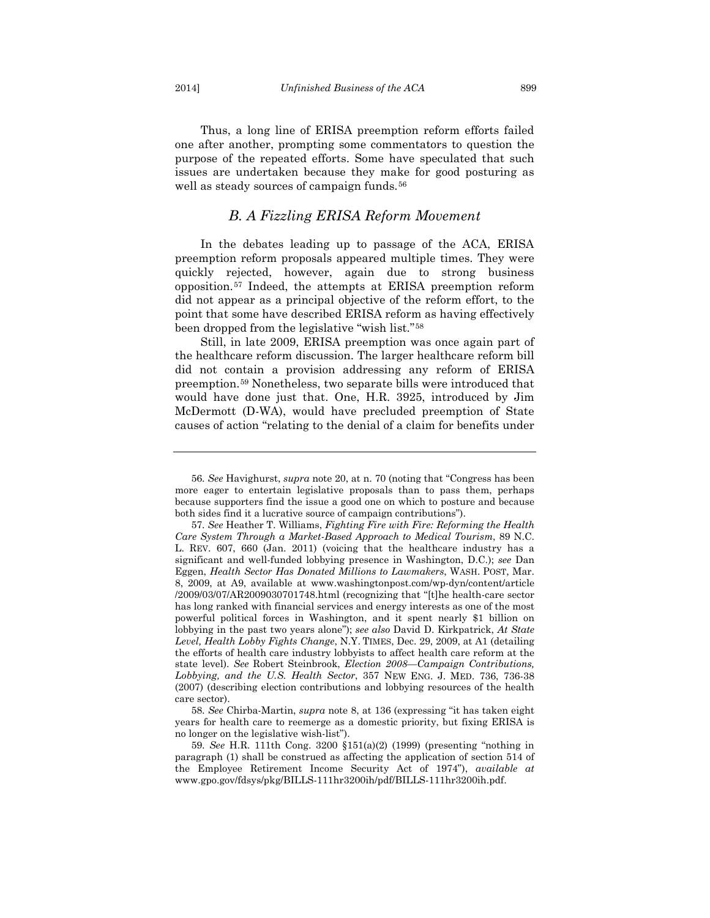Thus, a long line of ERISA preemption reform efforts failed one after another, prompting some commentators to question the purpose of the repeated efforts. Some have speculated that such issues are undertaken because they make for good posturing as well as steady sources of campaign funds.<sup>[56](#page-13-0)</sup>

## *B. A Fizzling ERISA Reform Movement*

In the debates leading up to passage of the ACA, ERISA preemption reform proposals appeared multiple times. They were quickly rejected, however, again due to strong business opposition.[57](#page-13-1) Indeed, the attempts at ERISA preemption reform did not appear as a principal objective of the reform effort, to the point that some have described ERISA reform as having effectively been dropped from the legislative "wish list."[58](#page-13-2)

Still, in late 2009, ERISA preemption was once again part of the healthcare reform discussion. The larger healthcare reform bill did not contain a provision addressing any reform of ERISA preemption.[59](#page-13-3) Nonetheless, two separate bills were introduced that would have done just that. One, H.R. 3925, introduced by Jim McDermott (D-WA), would have precluded preemption of State causes of action "relating to the denial of a claim for benefits under

<span id="page-13-0"></span><sup>56.</sup> *See* Havighurst, *supra* note [20,](#page-6-5) at n. 70 (noting that "Congress has been more eager to entertain legislative proposals than to pass them, perhaps because supporters find the issue a good one on which to posture and because both sides find it a lucrative source of campaign contributions").

<span id="page-13-1"></span><sup>57.</sup> *See* Heather T. Williams, *Fighting Fire with Fire: Reforming the Health Care System Through a Market-Based Approach to Medical Tourism*, 89 N.C. L. REV. 607, 660 (Jan. 2011) (voicing that the healthcare industry has a significant and well-funded lobbying presence in Washington, D.C.); *see* Dan Eggen, *Health Sector Has Donated Millions to Lawmakers*, WASH. POST, Mar. 8, 2009, at A9, available at www.washingtonpost.com/wp-dyn/content/article /2009/03/07/AR2009030701748.html (recognizing that "[t]he health-care sector has long ranked with financial services and energy interests as one of the most powerful political forces in Washington, and it spent nearly \$1 billion on lobbying in the past two years alone"); *see also* David D. Kirkpatrick, *At State Level, Health Lobby Fights Change*, N.Y. TIMES, Dec. 29, 2009, at A1 (detailing the efforts of health care industry lobbyists to affect health care reform at the state level). *See* Robert Steinbrook, *Election 2008—Campaign Contributions, Lobbying, and the U.S. Health Sector*, 357 NEW ENG. J. MED. 736, 736-38 (2007) (describing election contributions and lobbying resources of the health care sector).

<span id="page-13-2"></span><sup>58.</sup> *See* Chirba-Martin, *supra* note [8,](#page-4-4) at 136 (expressing "it has taken eight years for health care to reemerge as a domestic priority, but fixing ERISA is no longer on the legislative wish-list").

<span id="page-13-3"></span><sup>59.</sup> *See* H.R. 111th Cong. 3200 §151(a)(2) (1999) (presenting "nothing in paragraph (1) shall be construed as affecting the application of section 514 of the Employee Retirement Income Security Act of 1974"), *available at*  www.gpo.gov/fdsys/pkg/BILLS-111hr3200ih/pdf/BILLS-111hr3200ih.pdf.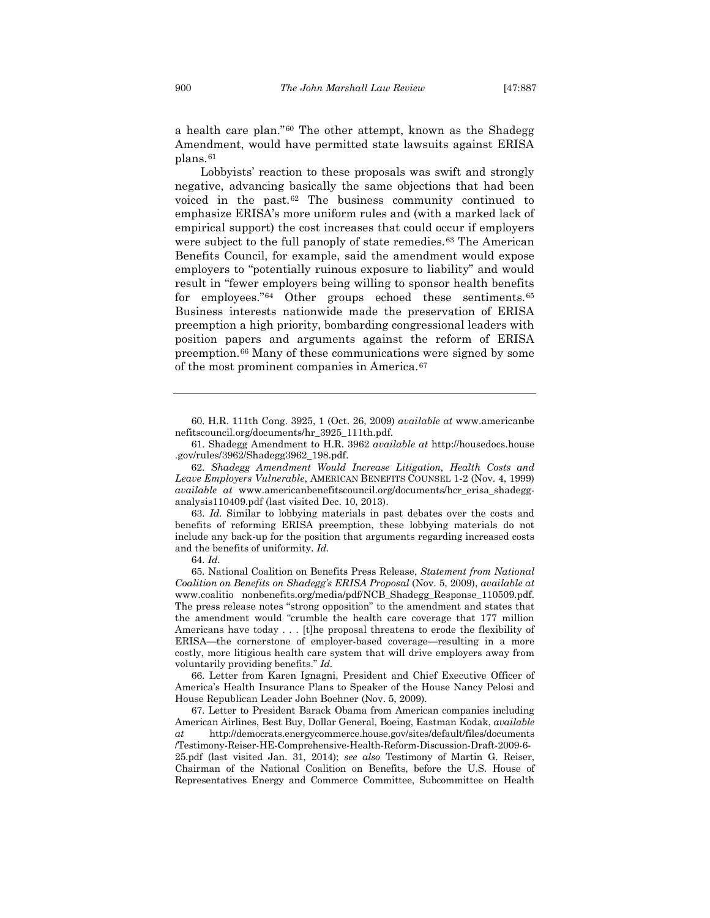a health care plan."[60](#page-14-1) The other attempt, known as the Shadegg Amendment, would have permitted state lawsuits against ERISA plans.[61](#page-14-2)

<span id="page-14-9"></span><span id="page-14-0"></span>Lobbyists' reaction to these proposals was swift and strongly negative, advancing basically the same objections that had been voiced in the past.[62](#page-14-3) The business community continued to emphasize ERISA's more uniform rules and (with a marked lack of empirical support) the cost increases that could occur if employers were subject to the full panoply of state remedies.<sup>[63](#page-14-4)</sup> The American Benefits Council, for example, said the amendment would expose employers to "potentially ruinous exposure to liability" and would result in "fewer employers being willing to sponsor health benefits for employees.["64](#page-14-5) Other groups echoed these sentiments.[65](#page-14-6) Business interests nationwide made the preservation of ERISA preemption a high priority, bombarding congressional leaders with position papers and arguments against the reform of ERISA preemption.[66](#page-14-7) Many of these communications were signed by some of the most prominent companies in America.[67](#page-14-8)

<span id="page-14-1"></span>60. H.R. 111th Cong. 3925, 1 (Oct. 26, 2009) *available at* www.americanbe nefitscouncil.org/documents/hr\_3925\_111th.pdf.

61. Shadegg Amendment to H.R. 3962 *available at* http://housedocs.house .gov/rules/3962/Shadegg3962\_198.pdf.

<span id="page-14-3"></span><span id="page-14-2"></span>62. *Shadegg Amendment Would Increase Litigation, Health Costs and Leave Employers Vulnerable*, AMERICAN BENEFITS COUNSEL 1-2 (Nov. 4, 1999) *available at* www.americanbenefitscouncil.org/documents/hcr\_erisa\_shadegganalysis110409.pdf (last visited Dec. 10, 2013).

<span id="page-14-4"></span>63. *Id.* Similar to lobbying materials in past debates over the costs and benefits of reforming ERISA preemption, these lobbying materials do not include any back-up for the position that arguments regarding increased costs and the benefits of uniformity. *Id.*

64. *Id.*

<span id="page-14-6"></span><span id="page-14-5"></span>65. National Coalition on Benefits Press Release, *Statement from National Coalition on Benefits on Shadegg's ERISA Proposal* (Nov. 5, 2009), *available at* www.coalitio nonbenefits.org/media/pdf/NCB\_Shadegg\_Response\_110509.pdf. The press release notes "strong opposition" to the amendment and states that the amendment would "crumble the health care coverage that 177 million Americans have today . . . [t]he proposal threatens to erode the flexibility of ERISA—the cornerstone of employer-based coverage—resulting in a more costly, more litigious health care system that will drive employers away from voluntarily providing benefits." *Id.*

<span id="page-14-7"></span>66. Letter from Karen Ignagni, President and Chief Executive Officer of America's Health Insurance Plans to Speaker of the House Nancy Pelosi and House Republican Leader John Boehner (Nov. 5, 2009).

<span id="page-14-8"></span>67. Letter to President Barack Obama from American companies including American Airlines, Best Buy, Dollar General, Boeing, Eastman Kodak, *available at* http://democrats.energycommerce.house.gov/sites/default/files/documents /Testimony-Reiser-HE-Comprehensive-Health-Reform-Discussion-Draft-2009-6- 25.pdf (last visited Jan. 31, 2014); *see also* Testimony of Martin G. Reiser, Chairman of the National Coalition on Benefits, before the U.S. House of Representatives Energy and Commerce Committee, Subcommittee on Health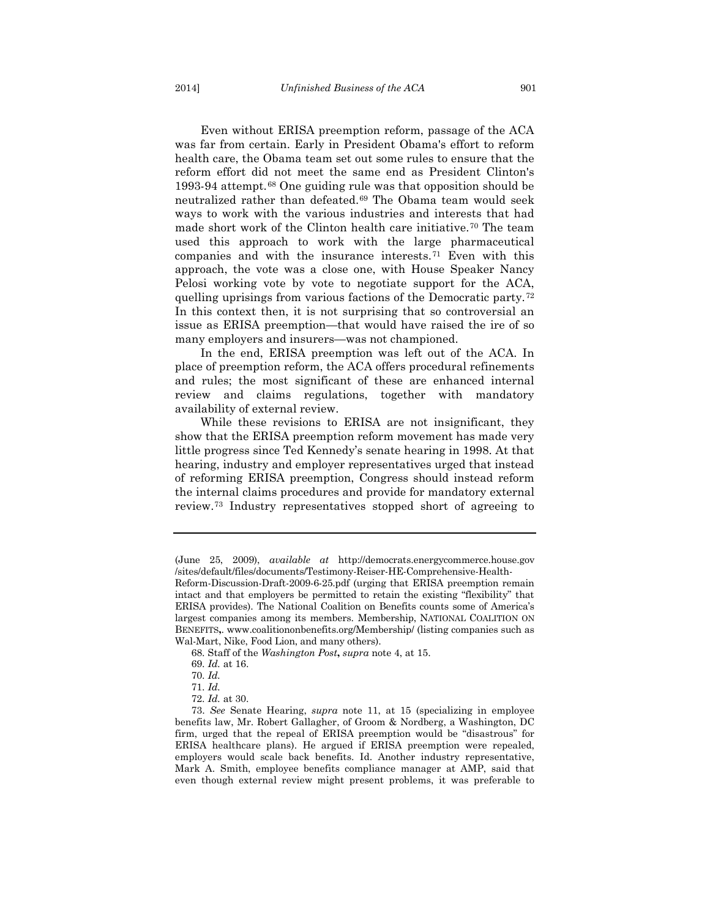Even without ERISA preemption reform, passage of the ACA was far from certain. Early in President Obama's effort to reform health care, the Obama team set out some rules to ensure that the reform effort did not meet the same end as President Clinton's 1993-94 attempt.[68](#page-15-0) One guiding rule was that opposition should be neutralized rather than defeated.[69](#page-15-1) The Obama team would seek ways to work with the various industries and interests that had made short work of the Clinton health care initiative.[70](#page-15-2) The team used this approach to work with the large pharmaceutical companies and with the insurance interests.[71](#page-15-3) Even with this approach, the vote was a close one, with House Speaker Nancy Pelosi working vote by vote to negotiate support for the ACA, quelling uprisings from various factions of the Democratic party.[72](#page-15-4) In this context then, it is not surprising that so controversial an issue as ERISA preemption—that would have raised the ire of so many employers and insurers—was not championed.

In the end, ERISA preemption was left out of the ACA. In place of preemption reform, the ACA offers procedural refinements and rules; the most significant of these are enhanced internal review and claims regulations, together with mandatory availability of external review.

While these revisions to ERISA are not insignificant, they show that the ERISA preemption reform movement has made very little progress since Ted Kennedy's senate hearing in 1998. At that hearing, industry and employer representatives urged that instead of reforming ERISA preemption, Congress should instead reform the internal claims procedures and provide for mandatory external review.[73](#page-15-5) Industry representatives stopped short of agreeing to

<sup>(</sup>June 25, 2009), *available at* http://democrats.energycommerce.house.gov /sites/default/files/documents/Testimony-Reiser-HE-Comprehensive-Health-

Reform-Discussion-Draft-2009-6-25.pdf (urging that ERISA preemption remain intact and that employers be permitted to retain the existing "flexibility" that ERISA provides). The National Coalition on Benefits counts some of America's largest companies among its members. Membership, NATIONAL COALITION ON BENEFITS**,**. www.coalitiononbenefits.org/Membership/ (listing companies such as Wal-Mart, Nike, Food Lion, and many others).

<sup>68.</sup> Staff of the *Washington Post***,** *supra* note [4,](#page-3-2) at 15.

<sup>69.</sup> *Id.* at 16.

<sup>70.</sup> *Id.*

<sup>71.</sup> *Id.*

<sup>72.</sup> *Id.* at 30.

<span id="page-15-5"></span><span id="page-15-4"></span><span id="page-15-3"></span><span id="page-15-2"></span><span id="page-15-1"></span><span id="page-15-0"></span><sup>73.</sup> *See* Senate Hearing, *supra* note [11,](#page-5-0) at 15 (specializing in employee benefits law, Mr. Robert Gallagher, of Groom & Nordberg, a Washington, DC firm, urged that the repeal of ERISA preemption would be "disastrous" for ERISA healthcare plans). He argued if ERISA preemption were repealed, employers would scale back benefits. Id. Another industry representative, Mark A. Smith, employee benefits compliance manager at AMP, said that even though external review might present problems, it was preferable to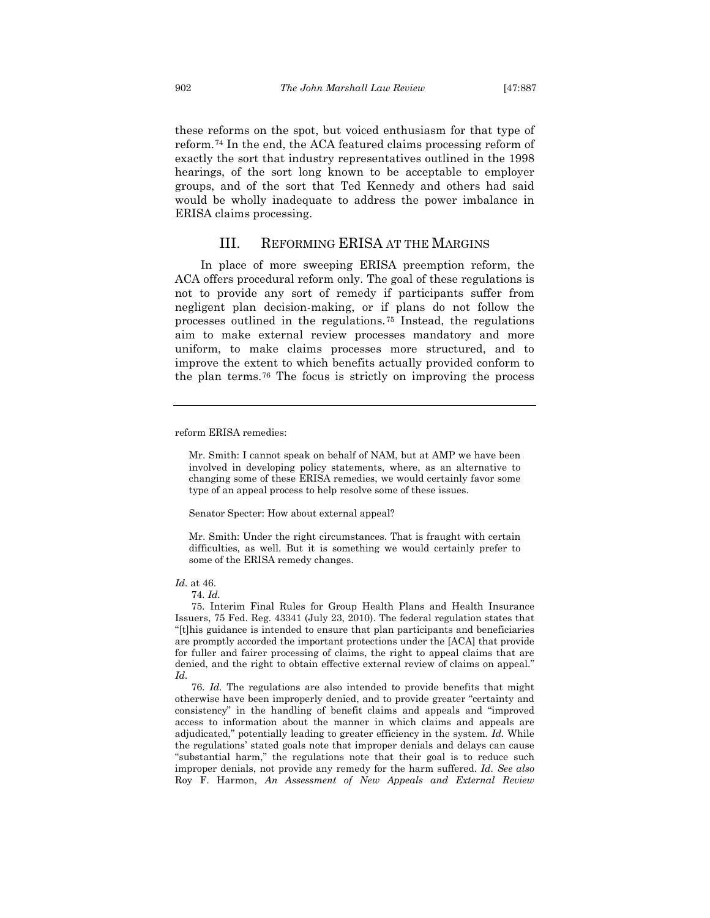these reforms on the spot, but voiced enthusiasm for that type of reform.[74](#page-16-0) In the end, the ACA featured claims processing reform of exactly the sort that industry representatives outlined in the 1998 hearings, of the sort long known to be acceptable to employer groups, and of the sort that Ted Kennedy and others had said would be wholly inadequate to address the power imbalance in ERISA claims processing.

### III. REFORMING ERISA AT THE MARGINS

In place of more sweeping ERISA preemption reform, the ACA offers procedural reform only. The goal of these regulations is not to provide any sort of remedy if participants suffer from negligent plan decision-making, or if plans do not follow the processes outlined in the regulations.[75](#page-16-1) Instead, the regulations aim to make external review processes mandatory and more uniform, to make claims processes more structured, and to improve the extent to which benefits actually provided conform to the plan terms.[76](#page-16-2) The focus is strictly on improving the process

<span id="page-16-3"></span>reform ERISA remedies:

Senator Specter: How about external appeal?

Mr. Smith: Under the right circumstances. That is fraught with certain difficulties, as well. But it is something we would certainly prefer to some of the ERISA remedy changes.

#### <span id="page-16-1"></span><span id="page-16-0"></span>*Id.* at 46.

74. *Id.*

75. Interim Final Rules for Group Health Plans and Health Insurance Issuers, 75 Fed. Reg. 43341 (July 23, 2010). The federal regulation states that "[t]his guidance is intended to ensure that plan participants and beneficiaries are promptly accorded the important protections under the [ACA] that provide for fuller and fairer processing of claims, the right to appeal claims that are denied, and the right to obtain effective external review of claims on appeal." *Id.*

<span id="page-16-2"></span>76. *Id.* The regulations are also intended to provide benefits that might otherwise have been improperly denied, and to provide greater "certainty and consistency" in the handling of benefit claims and appeals and "improved access to information about the manner in which claims and appeals are adjudicated," potentially leading to greater efficiency in the system*. Id.* While the regulations' stated goals note that improper denials and delays can cause "substantial harm," the regulations note that their goal is to reduce such improper denials, not provide any remedy for the harm suffered. *Id. See also* Roy F. Harmon, *An Assessment of New Appeals and External Review* 

Mr. Smith: I cannot speak on behalf of NAM, but at AMP we have been involved in developing policy statements, where, as an alternative to changing some of these ERISA remedies, we would certainly favor some type of an appeal process to help resolve some of these issues.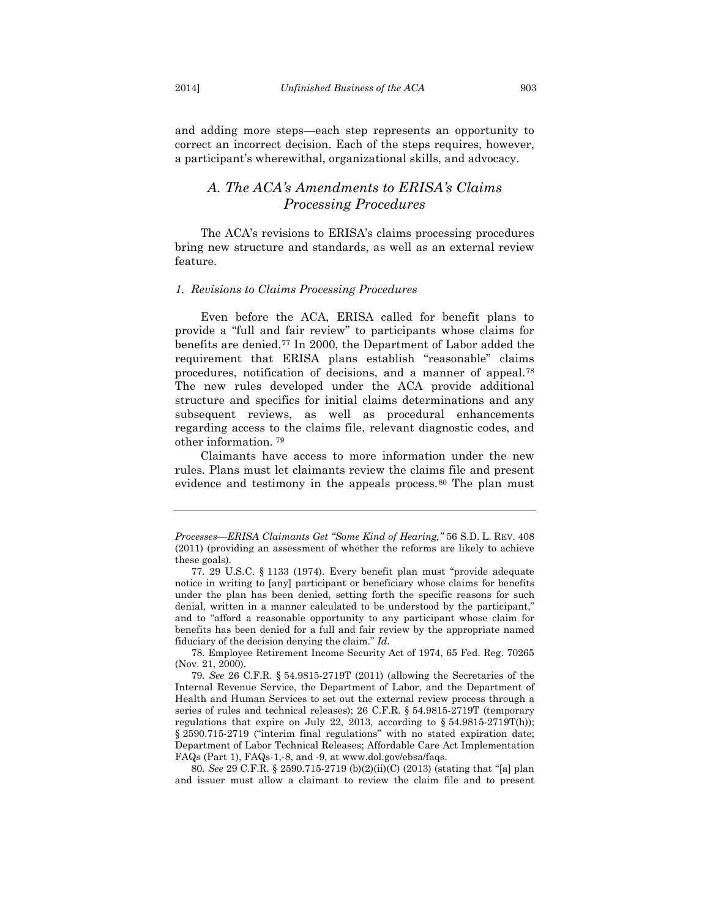and adding more steps—each step represents an opportunity to correct an incorrect decision. Each of the steps requires, however, a participant's wherewithal, organizational skills, and advocacy.

## *A. The ACA's Amendments to ERISA's Claims Processing Procedures*

The ACA's revisions to ERISA's claims processing procedures bring new structure and standards, as well as an external review feature.

#### *1. Revisions to Claims Processing Procedures*

Even before the ACA, ERISA called for benefit plans to provide a "full and fair review" to participants whose claims for benefits are denied.[77](#page-17-0) In 2000, the Department of Labor added the requirement that ERISA plans establish "reasonable" claims procedures, notification of decisions, and a manner of appeal.[78](#page-17-1) The new rules developed under the ACA provide additional structure and specifics for initial claims determinations and any subsequent reviews, as well as procedural enhancements regarding access to the claims file, relevant diagnostic codes, and other information. [79](#page-17-2)

Claimants have access to more information under the new rules. Plans must let claimants review the claims file and present evidence and testimony in the appeals process.<sup>[80](#page-17-3)</sup> The plan must

<span id="page-17-3"></span>80. *See* 29 C.F.R. § 2590.715-2719 (b)(2)(ii)(C) (2013) (stating that "[a] plan and issuer must allow a claimant to review the claim file and to present

*Processes—ERISA Claimants Get "Some Kind of Hearing,"* 56 S.D. L. REV. 408 (2011) (providing an assessment of whether the reforms are likely to achieve these goals).

<span id="page-17-0"></span><sup>77.</sup> 29 U.S.C. § 1133 (1974). Every benefit plan must "provide adequate notice in writing to [any] participant or beneficiary whose claims for benefits under the plan has been denied, setting forth the specific reasons for such denial, written in a manner calculated to be understood by the participant," and to "afford a reasonable opportunity to any participant whose claim for benefits has been denied for a full and fair review by the appropriate named fiduciary of the decision denying the claim." *Id.*

<span id="page-17-1"></span><sup>78.</sup> Employee Retirement Income Security Act of 1974, 65 Fed. Reg. 70265 (Nov. 21, 2000).

<span id="page-17-2"></span><sup>79.</sup> *See* 26 C.F.R. § 54.9815-2719T (2011) (allowing the Secretaries of the Internal Revenue Service, the Department of Labor, and the Department of Health and Human Services to set out the external review process through a series of rules and technical releases); 26 C.F.R. § 54.9815-2719T (temporary regulations that expire on July 22, 2013, according to  $\S 54.9815-2719T(h)$ ; § 2590.715-2719 ("interim final regulations" with no stated expiration date; Department of Labor Technical Releases; Affordable Care Act Implementation FAQs (Part 1), FAQs-1,-8, and -9, at www.dol.gov/ebsa/faqs.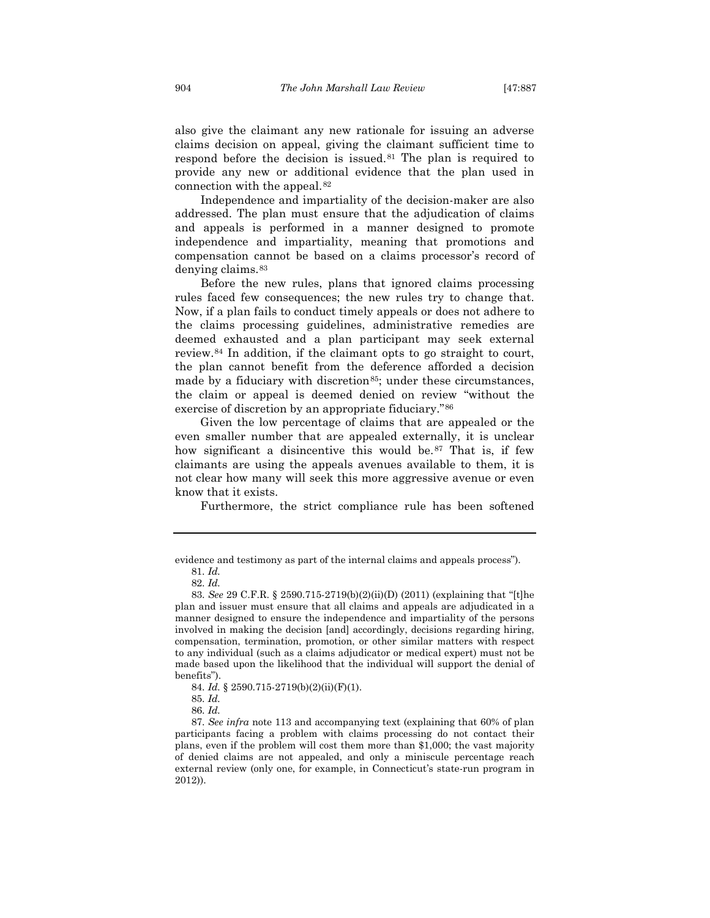also give the claimant any new rationale for issuing an adverse claims decision on appeal, giving the claimant sufficient time to respond before the decision is issued.[81](#page-18-0) The plan is required to provide any new or additional evidence that the plan used in connection with the appeal.[82](#page-18-1)

Independence and impartiality of the decision-maker are also addressed. The plan must ensure that the adjudication of claims and appeals is performed in a manner designed to promote independence and impartiality, meaning that promotions and compensation cannot be based on a claims processor's record of denying claims.[83](#page-18-2)

Before the new rules, plans that ignored claims processing rules faced few consequences; the new rules try to change that. Now, if a plan fails to conduct timely appeals or does not adhere to the claims processing guidelines, administrative remedies are deemed exhausted and a plan participant may seek external review.[84](#page-18-3) In addition, if the claimant opts to go straight to court, the plan cannot benefit from the deference afforded a decision made by a fiduciary with discretion<sup>85</sup>; under these circumstances, the claim or appeal is deemed denied on review "without the exercise of discretion by an appropriate fiduciary."[86](#page-18-5)

Given the low percentage of claims that are appealed or the even smaller number that are appealed externally, it is unclear how significant a disincentive this would be.<sup>[87](#page-18-6)</sup> That is, if few claimants are using the appeals avenues available to them, it is not clear how many will seek this more aggressive avenue or even know that it exists.

Furthermore, the strict compliance rule has been softened

<span id="page-18-0"></span>evidence and testimony as part of the internal claims and appeals process").

<sup>81.</sup> *Id.*

<sup>82.</sup> *Id.*

<span id="page-18-2"></span><span id="page-18-1"></span><sup>83.</sup> *See* 29 C.F.R. § 2590.715-2719(b)(2)(ii)(D) (2011) (explaining that "[t]he plan and issuer must ensure that all claims and appeals are adjudicated in a manner designed to ensure the independence and impartiality of the persons involved in making the decision [and] accordingly, decisions regarding hiring, compensation, termination, promotion, or other similar matters with respect to any individual (such as a claims adjudicator or medical expert) must not be made based upon the likelihood that the individual will support the denial of benefits").

<sup>84.</sup> *Id.* § 2590.715-2719(b)(2)(ii)(F)(1).

<sup>85.</sup> *Id.*

<sup>86.</sup> *Id.*

<span id="page-18-6"></span><span id="page-18-5"></span><span id="page-18-4"></span><span id="page-18-3"></span><sup>87.</sup> *See infra* note 113 and accompanying text (explaining that 60% of plan participants facing a problem with claims processing do not contact their plans, even if the problem will cost them more than \$1,000; the vast majority of denied claims are not appealed, and only a miniscule percentage reach external review (only one, for example, in Connecticut's state-run program in 2012)).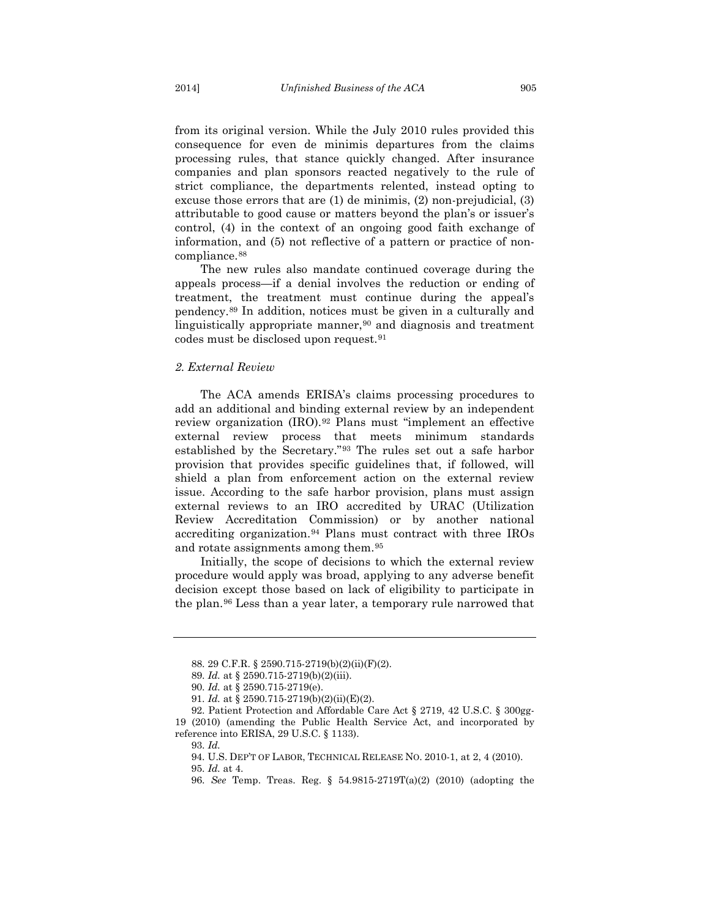from its original version. While the July 2010 rules provided this consequence for even de minimis departures from the claims processing rules, that stance quickly changed. After insurance companies and plan sponsors reacted negatively to the rule of strict compliance, the departments relented, instead opting to excuse those errors that are (1) de minimis, (2) non-prejudicial, (3) attributable to good cause or matters beyond the plan's or issuer's control, (4) in the context of an ongoing good faith exchange of information, and (5) not reflective of a pattern or practice of non-compliance.<sup>[88](#page-19-0)</sup>

The new rules also mandate continued coverage during the appeals process—if a denial involves the reduction or ending of treatment, the treatment must continue during the appeal's pendency.[89](#page-19-1) In addition, notices must be given in a culturally and linguistically appropriate manner,<sup>[90](#page-19-2)</sup> and diagnosis and treatment codes must be disclosed upon request.[91](#page-19-3)

#### *2. External Review*

The ACA amends ERISA's claims processing procedures to add an additional and binding external review by an independent review organization (IRO).[92](#page-19-4) Plans must "implement an effective external review process that meets minimum standards established by the Secretary."[93](#page-19-5) The rules set out a safe harbor provision that provides specific guidelines that, if followed, will shield a plan from enforcement action on the external review issue. According to the safe harbor provision, plans must assign external reviews to an IRO accredited by URAC (Utilization Review Accreditation Commission) or by another national accrediting organization.[94](#page-19-6) Plans must contract with three IROs and rotate assignments among them.[95](#page-19-7)

<span id="page-19-9"></span>Initially, the scope of decisions to which the external review procedure would apply was broad, applying to any adverse benefit decision except those based on lack of eligibility to participate in the plan.[96](#page-19-8) Less than a year later, a temporary rule narrowed that

93. *Id.*

<sup>88.</sup> 29 C.F.R. § 2590.715-2719(b)(2)(ii)(F)(2).

<sup>89.</sup> *Id.* at § 2590.715-2719(b)(2)(iii).

<sup>90.</sup> *Id.* at § 2590.715-2719(e).

<sup>91.</sup> *Id.* at § 2590.715-2719(b)(2)(ii)(E)(2).

<span id="page-19-8"></span><span id="page-19-7"></span><span id="page-19-6"></span><span id="page-19-5"></span><span id="page-19-4"></span><span id="page-19-3"></span><span id="page-19-2"></span><span id="page-19-1"></span><span id="page-19-0"></span><sup>92.</sup> Patient Protection and Affordable Care Act § 2719, 42 U.S.C. § 300gg-19 (2010) (amending the Public Health Service Act, and incorporated by reference into ERISA, 29 U.S.C. § 1133).

<sup>94.</sup> U.S. DEP'T OF LABOR, TECHNICAL RELEASE NO. 2010-1, at 2, 4 (2010).

<sup>95.</sup> *Id.* at 4.

<sup>96.</sup> *See* Temp. Treas. Reg. § 54.9815-2719T(a)(2) (2010) (adopting the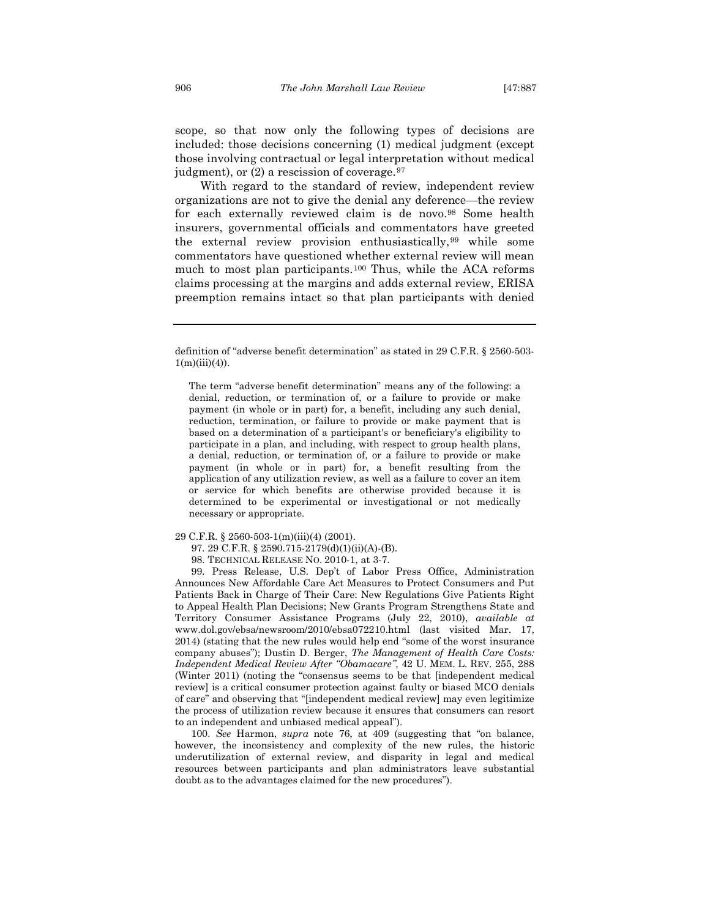scope, so that now only the following types of decisions are included: those decisions concerning (1) medical judgment (except those involving contractual or legal interpretation without medical judgment), or  $(2)$  a rescission of coverage.<sup>[97](#page-20-0)</sup>

With regard to the standard of review, independent review organizations are not to give the denial any deference—the review for each externally reviewed claim is de novo.<sup>[98](#page-20-1)</sup> Some health insurers, governmental officials and commentators have greeted the external review provision enthusiastically,[99](#page-20-2) while some commentators have questioned whether external review will mean much to most plan participants.[100](#page-20-3) Thus, while the ACA reforms claims processing at the margins and adds external review, ERISA preemption remains intact so that plan participants with denied

The term "adverse benefit determination" means any of the following: a denial, reduction, or termination of, or a failure to provide or make payment (in whole or in part) for, a benefit, including any such denial, reduction, termination, or failure to provide or make payment that is based on a determination of a participant's or beneficiary's eligibility to participate in a plan, and including, with respect to group health plans, a denial, reduction, or termination of, or a failure to provide or make payment (in whole or in part) for, a benefit resulting from the application of any utilization review, as well as a failure to cover an item or service for which benefits are otherwise provided because it is determined to be experimental or investigational or not medically necessary or appropriate.

97. 29 C.F.R. § 2590.715-2179(d)(1)(ii)(A)-(B).

<span id="page-20-2"></span><span id="page-20-1"></span>99. Press Release, U.S. Dep't of Labor Press Office, Administration Announces New Affordable Care Act Measures to Protect Consumers and Put Patients Back in Charge of Their Care: New Regulations Give Patients Right to Appeal Health Plan Decisions; New Grants Program Strengthens State and Territory Consumer Assistance Programs (July 22, 2010), *available at* www.dol.gov/ebsa/newsroom/2010/ebsa072210.html (last visited Mar. 17, 2014) (stating that the new rules would help end "some of the worst insurance company abuses"); Dustin D. Berger, *The Management of Health Care Costs: Independent Medical Review After "Obamacare"*, 42 U. MEM. L. REV. 255, 288 (Winter 2011) (noting the "consensus seems to be that [independent medical review] is a critical consumer protection against faulty or biased MCO denials of care" and observing that "[independent medical review] may even legitimize the process of utilization review because it ensures that consumers can resort to an independent and unbiased medical appeal").

<span id="page-20-3"></span>100. *See* Harmon, *supra* note 76, at 409 (suggesting that "on balance, however, the inconsistency and complexity of the new rules, the historic underutilization of external review, and disparity in legal and medical resources between participants and plan administrators leave substantial doubt as to the advantages claimed for the new procedures").

definition of "adverse benefit determination" as stated in 29 C.F.R. § 2560-503-  $1(m)(iii)(4)$ ).

<span id="page-20-0"></span><sup>29</sup> C.F.R. § 2560-503-1(m)(iii)(4) (2001).

<sup>98.</sup> TECHNICAL RELEASE NO. 2010-1, at 3-7.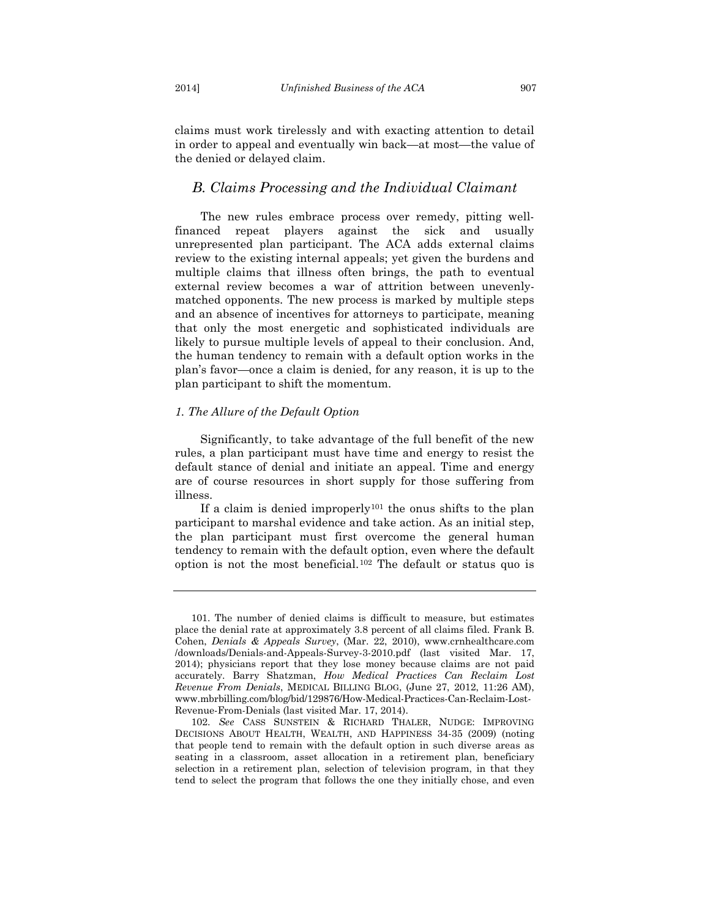claims must work tirelessly and with exacting attention to detail in order to appeal and eventually win back—at most—the value of the denied or delayed claim.

## *B. Claims Processing and the Individual Claimant*

The new rules embrace process over remedy, pitting wellfinanced repeat players against the sick and usually unrepresented plan participant. The ACA adds external claims review to the existing internal appeals; yet given the burdens and multiple claims that illness often brings, the path to eventual external review becomes a war of attrition between unevenlymatched opponents. The new process is marked by multiple steps and an absence of incentives for attorneys to participate, meaning that only the most energetic and sophisticated individuals are likely to pursue multiple levels of appeal to their conclusion. And, the human tendency to remain with a default option works in the plan's favor—once a claim is denied, for any reason, it is up to the plan participant to shift the momentum.

#### *1. The Allure of the Default Option*

Significantly, to take advantage of the full benefit of the new rules, a plan participant must have time and energy to resist the default stance of denial and initiate an appeal. Time and energy are of course resources in short supply for those suffering from illness.

If a claim is denied improperly<sup>[101](#page-21-0)</sup> the onus shifts to the plan participant to marshal evidence and take action. As an initial step, the plan participant must first overcome the general human tendency to remain with the default option, even where the default option is not the most beneficial.[102](#page-21-1) The default or status quo is

<span id="page-21-0"></span><sup>101.</sup> The number of denied claims is difficult to measure, but estimates place the denial rate at approximately 3.8 percent of all claims filed. Frank B. Cohen, *Denials & Appeals Survey*, (Mar. 22, 2010), www.crnhealthcare.com /downloads/Denials-and-Appeals-Survey-3-2010.pdf (last visited Mar. 17, 2014); physicians report that they lose money because claims are not paid accurately. Barry Shatzman, *How Medical Practices Can Reclaim Lost Revenue From Denials*, MEDICAL BILLING BLOG, (June 27, 2012, 11:26 AM), www.mbrbilling.com/blog/bid/129876/How-Medical-Practices-Can-Reclaim-Lost-Revenue-From-Denials (last visited Mar. 17, 2014).

<span id="page-21-1"></span><sup>102.</sup> *See* CASS SUNSTEIN & RICHARD THALER, NUDGE: IMPROVING DECISIONS ABOUT HEALTH, WEALTH, AND HAPPINESS 34-35 (2009) (noting that people tend to remain with the default option in such diverse areas as seating in a classroom, asset allocation in a retirement plan, beneficiary selection in a retirement plan, selection of television program, in that they tend to select the program that follows the one they initially chose, and even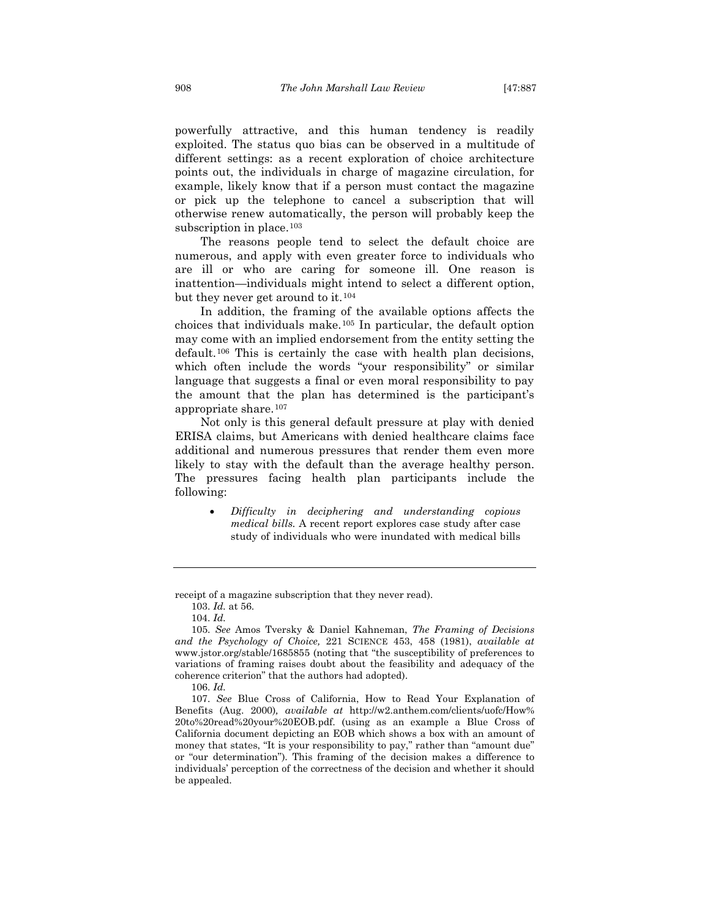powerfully attractive, and this human tendency is readily exploited. The status quo bias can be observed in a multitude of different settings: as a recent exploration of choice architecture points out, the individuals in charge of magazine circulation, for example, likely know that if a person must contact the magazine or pick up the telephone to cancel a subscription that will otherwise renew automatically, the person will probably keep the subscription in place.<sup>[103](#page-22-0)</sup>

The reasons people tend to select the default choice are numerous, and apply with even greater force to individuals who are ill or who are caring for someone ill. One reason is inattention—individuals might intend to select a different option, but they never get around to it.[104](#page-22-1)

In addition, the framing of the available options affects the choices that individuals make.[105](#page-22-2) In particular, the default option may come with an implied endorsement from the entity setting the default.[106](#page-22-3) This is certainly the case with health plan decisions, which often include the words "your responsibility" or similar language that suggests a final or even moral responsibility to pay the amount that the plan has determined is the participant's appropriate share.[107](#page-22-4)

Not only is this general default pressure at play with denied ERISA claims, but Americans with denied healthcare claims face additional and numerous pressures that render them even more likely to stay with the default than the average healthy person. The pressures facing health plan participants include the following:

• *Difficulty in deciphering and understanding copious medical bills.* A recent report explores case study after case study of individuals who were inundated with medical bills

<span id="page-22-0"></span>receipt of a magazine subscription that they never read).

<sup>103.</sup> *Id.* at 56.

<sup>104.</sup> *Id.*

<span id="page-22-2"></span><span id="page-22-1"></span><sup>105.</sup> *See* Amos Tversky & Daniel Kahneman, *The Framing of Decisions and the Psychology of Choice,* 221 SCIENCE 453, 458 (1981), *available at* www.jstor.org/stable/1685855 (noting that "the susceptibility of preferences to variations of framing raises doubt about the feasibility and adequacy of the coherence criterion" that the authors had adopted).

<sup>106.</sup> *Id.*

<span id="page-22-4"></span><span id="page-22-3"></span><sup>107.</sup> *See* Blue Cross of California, How to Read Your Explanation of Benefits (Aug. 2000)*, available at* http://w2.anthem.com/clients/uofc/How% 20to%20read%20your%20EOB.pdf. (using as an example a Blue Cross of California document depicting an EOB which shows a box with an amount of money that states, "It is your responsibility to pay," rather than "amount due" or "our determination"). This framing of the decision makes a difference to individuals' perception of the correctness of the decision and whether it should be appealed.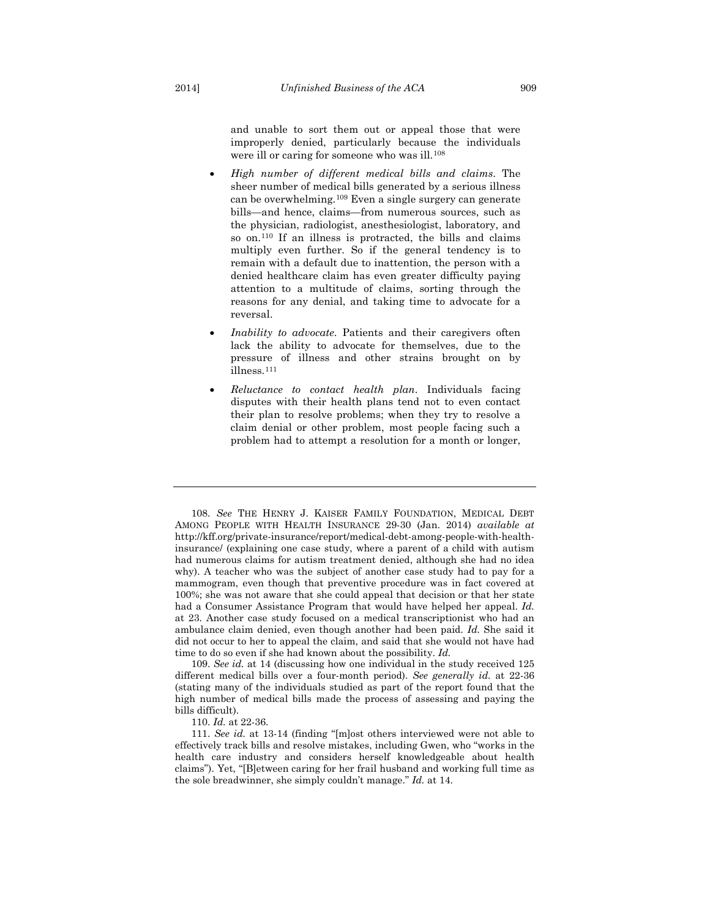<span id="page-23-4"></span>and unable to sort them out or appeal those that were improperly denied, particularly because the individuals were ill or caring for someone who was ill.<sup>[108](#page-23-0)</sup>

- *High number of different medical bills and claims*. The sheer number of medical bills generated by a serious illness can be overwhelming.[109](#page-23-1) Even a single surgery can generate bills—and hence, claims—from numerous sources, such as the physician, radiologist, anesthesiologist, laboratory, and so on.[110](#page-23-2) If an illness is protracted, the bills and claims multiply even further. So if the general tendency is to remain with a default due to inattention, the person with a denied healthcare claim has even greater difficulty paying attention to a multitude of claims, sorting through the reasons for any denial, and taking time to advocate for a reversal.
- *Inability to advocate*. Patients and their caregivers often lack the ability to advocate for themselves, due to the pressure of illness and other strains brought on by illness.[111](#page-23-3)
- <span id="page-23-5"></span>• *Reluctance to contact health plan*. Individuals facing disputes with their health plans tend not to even contact their plan to resolve problems; when they try to resolve a claim denial or other problem, most people facing such a problem had to attempt a resolution for a month or longer,

<span id="page-23-0"></span>108. *See* THE HENRY J. KAISER FAMILY FOUNDATION, MEDICAL DEBT AMONG PEOPLE WITH HEALTH INSURANCE 29-30 (Jan. 2014) *available at* http://kff.org/private-insurance/report/medical-debt-among-people-with-healthinsurance/ (explaining one case study, where a parent of a child with autism had numerous claims for autism treatment denied, although she had no idea why). A teacher who was the subject of another case study had to pay for a mammogram, even though that preventive procedure was in fact covered at 100%; she was not aware that she could appeal that decision or that her state had a Consumer Assistance Program that would have helped her appeal. *Id.* at 23. Another case study focused on a medical transcriptionist who had an ambulance claim denied, even though another had been paid. *Id.* She said it did not occur to her to appeal the claim, and said that she would not have had time to do so even if she had known about the possibility. *Id.*

<span id="page-23-1"></span>109. *See id.* at 14 (discussing how one individual in the study received 125 different medical bills over a four-month period). *See generally id.* at 22-36 (stating many of the individuals studied as part of the report found that the high number of medical bills made the process of assessing and paying the bills difficult).

110. *Id.* at 22-36.

<span id="page-23-3"></span><span id="page-23-2"></span>111. *See id.* at 13-14 (finding "[m]ost others interviewed were not able to effectively track bills and resolve mistakes, including Gwen, who "works in the health care industry and considers herself knowledgeable about health claims"). Yet, "[B]etween caring for her frail husband and working full time as the sole breadwinner, she simply couldn't manage." *Id.* at 14.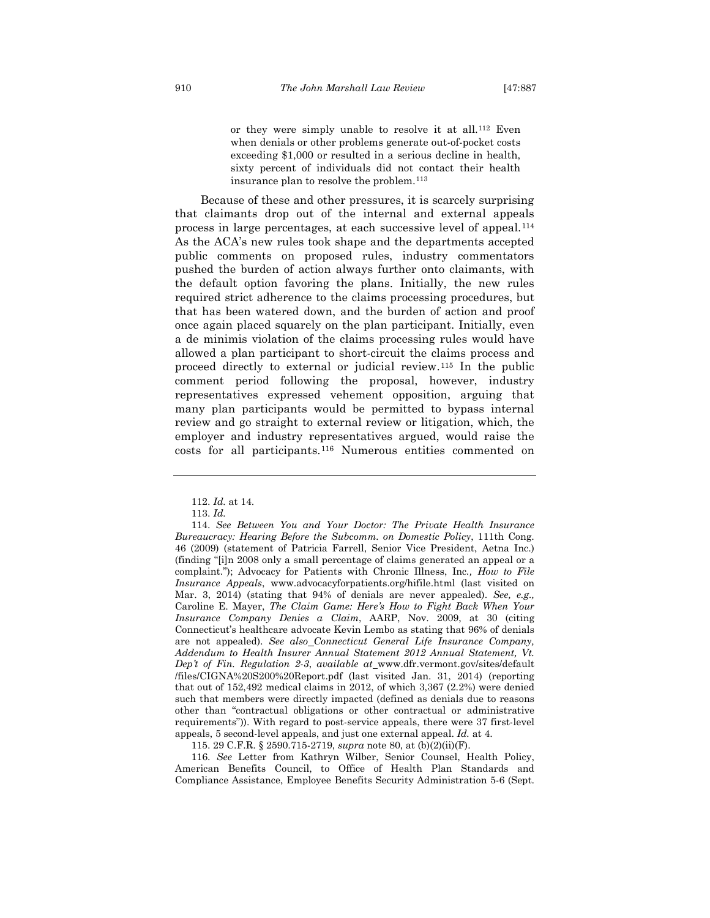<span id="page-24-5"></span>or they were simply unable to resolve it at all.[112](#page-24-0) Even when denials or other problems generate out-of-pocket costs exceeding \$1,000 or resulted in a serious decline in health, sixty percent of individuals did not contact their health insurance plan to resolve the problem.[113](#page-24-1)

Because of these and other pressures, it is scarcely surprising that claimants drop out of the internal and external appeals process in large percentages, at each successive level of appeal.[114](#page-24-2) As the ACA's new rules took shape and the departments accepted public comments on proposed rules, industry commentators pushed the burden of action always further onto claimants, with the default option favoring the plans. Initially, the new rules required strict adherence to the claims processing procedures, but that has been watered down, and the burden of action and proof once again placed squarely on the plan participant. Initially, even a de minimis violation of the claims processing rules would have allowed a plan participant to short-circuit the claims process and proceed directly to external or judicial review.[115](#page-24-3) In the public comment period following the proposal, however, industry representatives expressed vehement opposition, arguing that many plan participants would be permitted to bypass internal review and go straight to external review or litigation, which, the employer and industry representatives argued, would raise the costs for all participants.[116](#page-24-4) Numerous entities commented on

115. 29 C.F.R. § 2590.715-2719, *supra* note 80, at (b)(2)(ii)(F).

<span id="page-24-4"></span><span id="page-24-3"></span>116. *See* Letter from Kathryn Wilber, Senior Counsel, Health Policy, American Benefits Council, to Office of Health Plan Standards and Compliance Assistance, Employee Benefits Security Administration 5-6 (Sept.

<sup>112.</sup> *Id.* at 14.

<sup>113.</sup> *Id.*

<span id="page-24-2"></span><span id="page-24-1"></span><span id="page-24-0"></span><sup>114.</sup> *See Between You and Your Doctor: The Private Health Insurance Bureaucracy: Hearing Before the Subcomm. on Domestic Policy*, 111th Cong. 46 (2009) (statement of Patricia Farrell, Senior Vice President, Aetna Inc.) (finding "[i]n 2008 only a small percentage of claims generated an appeal or a complaint."); Advocacy for Patients with Chronic Illness, Inc*., How to File Insurance Appeals*, www.advocacyforpatients.org/hifile.html (last visited on Mar. 3, 2014) (stating that 94% of denials are never appealed). *See, e.g.,* Caroline E. Mayer, *The Claim Game: Here's How to Fight Back When Your Insurance Company Denies a Claim*, AARP, Nov. 2009, at 30 (citing Connecticut's healthcare advocate Kevin Lembo as stating that 96% of denials are not appealed). *See also Connecticut General Life Insurance Company, Addendum to Health Insurer Annual Statement 2012 Annual Statement, Vt. Dep't of Fin. Regulation 2-3*, *available at* www.dfr.vermont.gov/sites/default /files/CIGNA%20S200%20Report.pdf (last visited Jan. 31, 2014) (reporting that out of 152,492 medical claims in 2012, of which 3,367 (2.2%) were denied such that members were directly impacted (defined as denials due to reasons other than "contractual obligations or other contractual or administrative requirements")). With regard to post-service appeals, there were 37 first-level appeals, 5 second-level appeals, and just one external appeal. *Id.* at 4.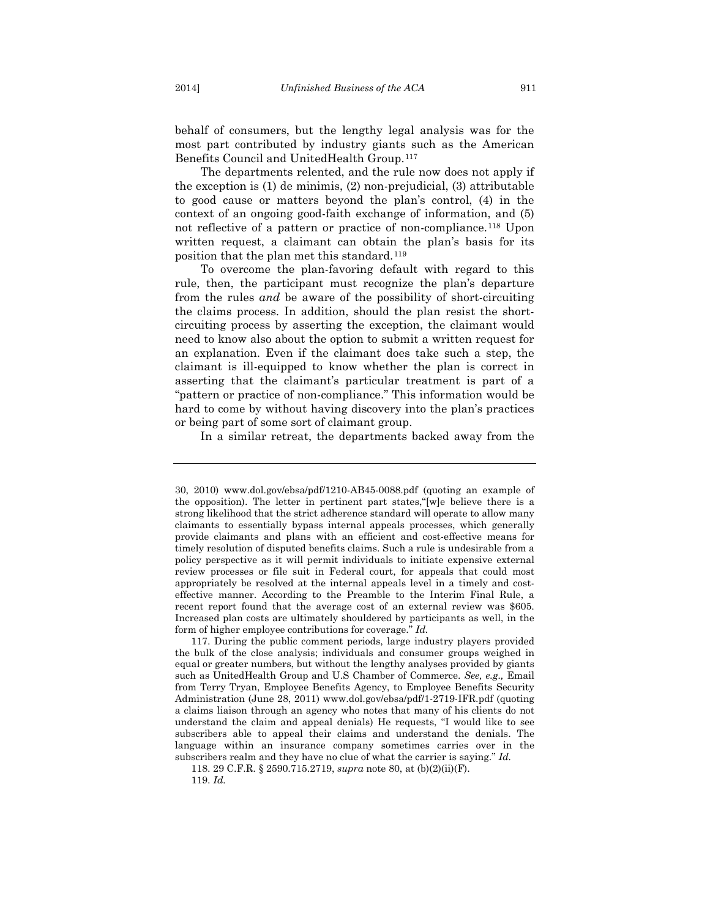behalf of consumers, but the lengthy legal analysis was for the most part contributed by industry giants such as the American Benefits Council and UnitedHealth Group.[117](#page-25-0)

The departments relented, and the rule now does not apply if the exception is (1) de minimis, (2) non-prejudicial, (3) attributable to good cause or matters beyond the plan's control, (4) in the context of an ongoing good-faith exchange of information, and (5) not reflective of a pattern or practice of non-compliance.[118](#page-25-1) Upon written request, a claimant can obtain the plan's basis for its position that the plan met this standard.[119](#page-25-2)

To overcome the plan-favoring default with regard to this rule, then, the participant must recognize the plan's departure from the rules *and* be aware of the possibility of short-circuiting the claims process. In addition, should the plan resist the shortcircuiting process by asserting the exception, the claimant would need to know also about the option to submit a written request for an explanation. Even if the claimant does take such a step, the claimant is ill-equipped to know whether the plan is correct in asserting that the claimant's particular treatment is part of a "pattern or practice of non-compliance." This information would be hard to come by without having discovery into the plan's practices or being part of some sort of claimant group.

In a similar retreat, the departments backed away from the

<sup>30, 2010)</sup> www.dol.gov/ebsa/pdf/1210-AB45-0088.pdf (quoting an example of the opposition). The letter in pertinent part states,"[w]e believe there is a strong likelihood that the strict adherence standard will operate to allow many claimants to essentially bypass internal appeals processes, which generally provide claimants and plans with an efficient and cost-effective means for timely resolution of disputed benefits claims. Such a rule is undesirable from a policy perspective as it will permit individuals to initiate expensive external review processes or file suit in Federal court, for appeals that could most appropriately be resolved at the internal appeals level in a timely and costeffective manner. According to the Preamble to the Interim Final Rule, a recent report found that the average cost of an external review was \$605. Increased plan costs are ultimately shouldered by participants as well, in the form of higher employee contributions for coverage." *Id.*

<span id="page-25-0"></span><sup>117.</sup> During the public comment periods, large industry players provided the bulk of the close analysis; individuals and consumer groups weighed in equal or greater numbers, but without the lengthy analyses provided by giants such as UnitedHealth Group and U.S Chamber of Commerce. *See, e.g.,* Email from Terry Tryan, Employee Benefits Agency, to Employee Benefits Security Administration (June 28, 2011) www.dol.gov/ebsa/pdf/1-2719-IFR.pdf (quoting a claims liaison through an agency who notes that many of his clients do not understand the claim and appeal denials) He requests, "I would like to see subscribers able to appeal their claims and understand the denials. The language within an insurance company sometimes carries over in the subscribers realm and they have no clue of what the carrier is saying." *Id.* 

<span id="page-25-2"></span><span id="page-25-1"></span><sup>118.</sup> 29 C.F.R. § 2590.715.2719, *supra* note 80, at (b)(2)(ii)(F).

<sup>119.</sup> *Id.*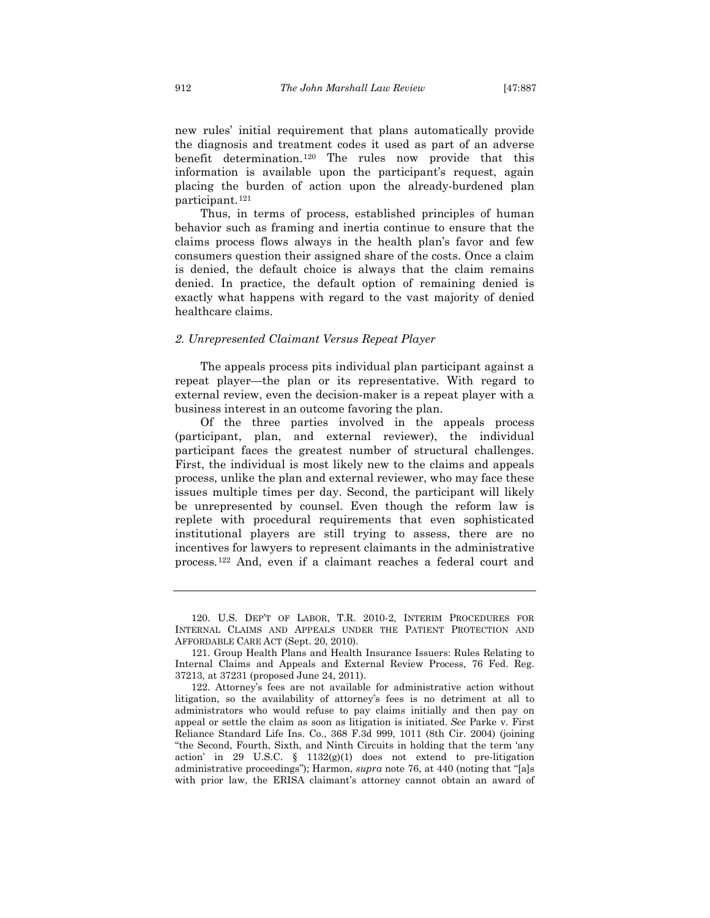new rules' initial requirement that plans automatically provide the diagnosis and treatment codes it used as part of an adverse benefit determination.[120](#page-26-0) The rules now provide that this information is available upon the participant's request, again placing the burden of action upon the already-burdened plan participant.[121](#page-26-1)

Thus, in terms of process, established principles of human behavior such as framing and inertia continue to ensure that the claims process flows always in the health plan's favor and few consumers question their assigned share of the costs. Once a claim is denied, the default choice is always that the claim remains denied. In practice, the default option of remaining denied is exactly what happens with regard to the vast majority of denied healthcare claims.

#### *2. Unrepresented Claimant Versus Repeat Player*

The appeals process pits individual plan participant against a repeat player—the plan or its representative. With regard to external review, even the decision-maker is a repeat player with a business interest in an outcome favoring the plan.

Of the three parties involved in the appeals process (participant, plan, and external reviewer), the individual participant faces the greatest number of structural challenges. First, the individual is most likely new to the claims and appeals process, unlike the plan and external reviewer, who may face these issues multiple times per day. Second, the participant will likely be unrepresented by counsel. Even though the reform law is replete with procedural requirements that even sophisticated institutional players are still trying to assess, there are no incentives for lawyers to represent claimants in the administrative process.[122](#page-26-2) And, even if a claimant reaches a federal court and

<span id="page-26-3"></span><span id="page-26-0"></span><sup>120.</sup> U.S. DEP'T OF LABOR, T.R. 2010-2, INTERIM PROCEDURES FOR INTERNAL CLAIMS AND APPEALS UNDER THE PATIENT PROTECTION AND AFFORDABLE CARE ACT (Sept. 20, 2010).

<span id="page-26-1"></span><sup>121.</sup> Group Health Plans and Health Insurance Issuers: Rules Relating to Internal Claims and Appeals and External Review Process, 76 Fed. Reg. 37213, at 37231 (proposed June 24, 2011).

<span id="page-26-2"></span><sup>122.</sup> Attorney's fees are not available for administrative action without litigation, so the availability of attorney's fees is no detriment at all to administrators who would refuse to pay claims initially and then pay on appeal or settle the claim as soon as litigation is initiated. *See* Parke v. First Reliance Standard Life Ins. Co., 368 F.3d 999, 1011 (8th Cir. 2004) (joining "the Second, Fourth, Sixth, and Ninth Circuits in holding that the term 'any action' in 29 U.S.C. § 1132(g)(1) does not extend to pre-litigation administrative proceedings"); Harmon, *supra* note 76, at 440 (noting that "[a]s with prior law, the ERISA claimant's attorney cannot obtain an award of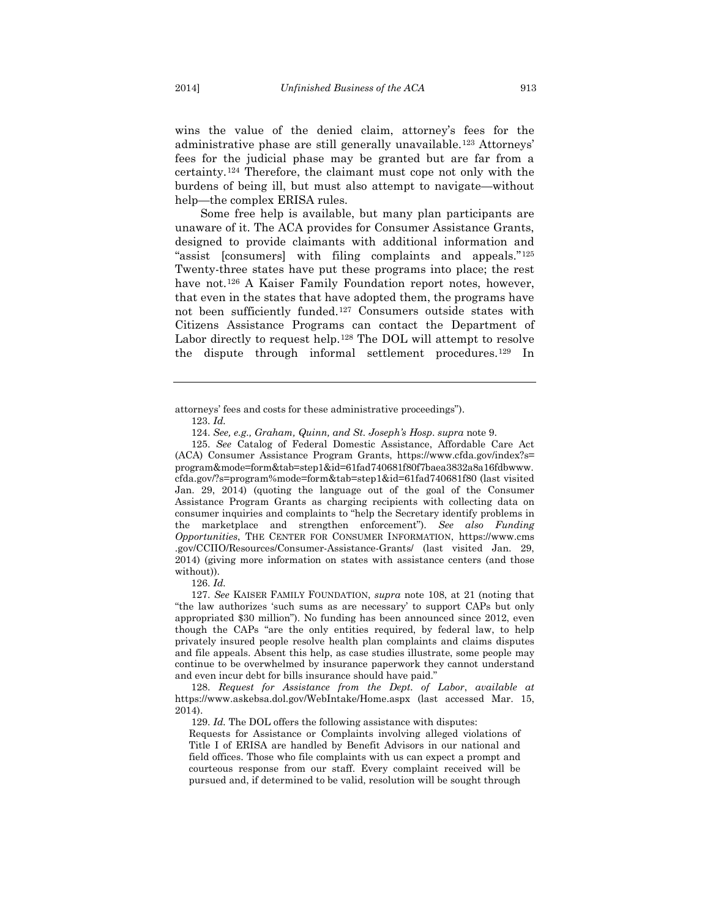wins the value of the denied claim, attorney's fees for the administrative phase are still generally unavailable.[123](#page-27-0) Attorneys' fees for the judicial phase may be granted but are far from a certainty.[124](#page-27-1) Therefore, the claimant must cope not only with the burdens of being ill, but must also attempt to navigate—without help—the complex ERISA rules.

Some free help is available, but many plan participants are unaware of it. The ACA provides for Consumer Assistance Grants, designed to provide claimants with additional information and "assist [consumers] with filing complaints and appeals."[125](#page-27-2) Twenty-three states have put these programs into place; the rest have not.<sup>[126](#page-27-3)</sup> A Kaiser Family Foundation report notes, however, that even in the states that have adopted them, the programs have not been sufficiently funded.[127](#page-27-4) Consumers outside states with Citizens Assistance Programs can contact the Department of Labor directly to request help.<sup>[128](#page-27-5)</sup> The DOL will attempt to resolve the dispute through informal settlement procedures.[129](#page-27-6) In

<span id="page-27-0"></span>attorneys' fees and costs for these administrative proceedings").

124. *See, e.g., Graham, Quinn, and St. Joseph's Hosp*. *supra* note 9.

<span id="page-27-2"></span><span id="page-27-1"></span>125. *See* Catalog of Federal Domestic Assistance, Affordable Care Act (ACA) Consumer Assistance Program Grants, https://www.cfda.gov/index?s= program&mode=form&tab=step1&id=61fad740681f80f7baea3832a8a16fdbwww. cfda.gov/?s=program%mode=form&tab=step1&id=61fad740681f80 (last visited Jan. 29, 2014) (quoting the language out of the goal of the Consumer Assistance Program Grants as charging recipients with collecting data on consumer inquiries and complaints to "help the Secretary identify problems in the marketplace and strengthen enforcement"). *See also Funding Opportunities*, THE CENTER FOR CONSUMER INFORMATION, https://www.cms .gov/CCIIO/Resources/Consumer-Assistance-Grants/ (last visited Jan. 29, 2014) (giving more information on states with assistance centers (and those without)).

126. *Id.*

<span id="page-27-4"></span><span id="page-27-3"></span>127. *See* KAISER FAMILY FOUNDATION, *supra* note [108,](#page-23-4) at 21 (noting that "the law authorizes 'such sums as are necessary' to support CAPs but only appropriated \$30 million"). No funding has been announced since 2012, even though the CAPs "are the only entities required, by federal law, to help privately insured people resolve health plan complaints and claims disputes and file appeals. Absent this help, as case studies illustrate, some people may continue to be overwhelmed by insurance paperwork they cannot understand and even incur debt for bills insurance should have paid."

<span id="page-27-6"></span><span id="page-27-5"></span>128. *Request for Assistance from the Dept. of Labor*, *available at* https://www.askebsa.dol.gov/WebIntake/Home.aspx (last accessed Mar. 15, 2014).

129. *Id.* The DOL offers the following assistance with disputes:

Requests for Assistance or Complaints involving alleged violations of Title I of ERISA are handled by Benefit Advisors in our national and field offices. Those who file complaints with us can expect a prompt and courteous response from our staff. Every complaint received will be pursued and, if determined to be valid, resolution will be sought through

<sup>123.</sup> *Id.*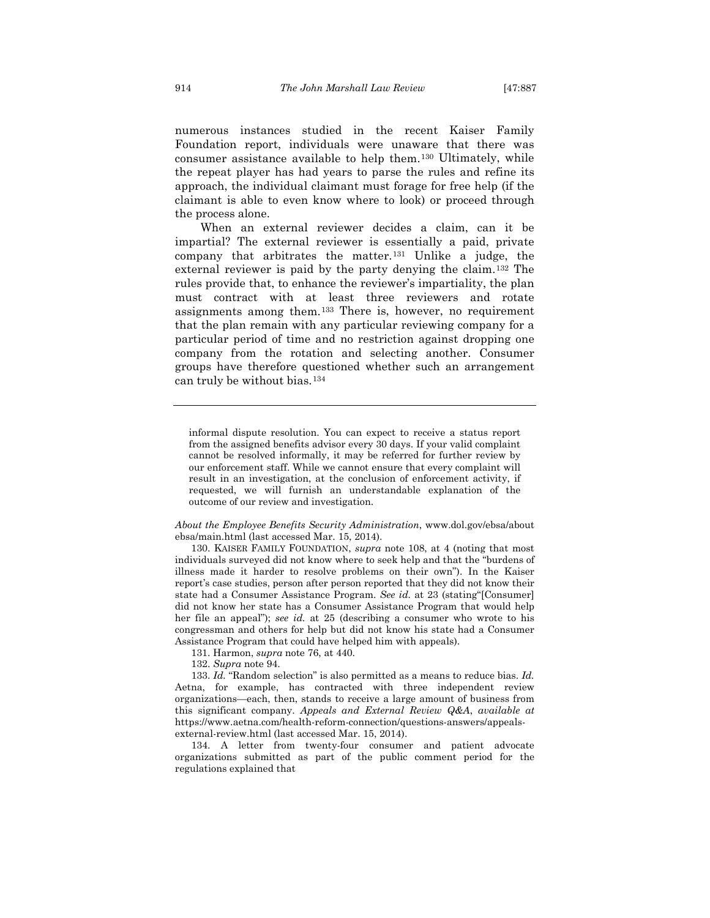<span id="page-28-5"></span>numerous instances studied in the recent Kaiser Family Foundation report, individuals were unaware that there was consumer assistance available to help them.[130](#page-28-0) Ultimately, while the repeat player has had years to parse the rules and refine its approach, the individual claimant must forage for free help (if the claimant is able to even know where to look) or proceed through the process alone.

When an external reviewer decides a claim, can it be impartial? The external reviewer is essentially a paid, private company that arbitrates the matter.[131](#page-28-1) Unlike a judge, the external reviewer is paid by the party denying the claim.[132](#page-28-2) The rules provide that, to enhance the reviewer's impartiality, the plan must contract with at least three reviewers and rotate assignments among them.[133](#page-28-3) There is, however, no requirement that the plan remain with any particular reviewing company for a particular period of time and no restriction against dropping one company from the rotation and selecting another. Consumer groups have therefore questioned whether such an arrangement can truly be without bias.[134](#page-28-4)

informal dispute resolution. You can expect to receive a status report from the assigned benefits advisor every 30 days. If your valid complaint cannot be resolved informally, it may be referred for further review by our enforcement staff. While we cannot ensure that every complaint will result in an investigation, at the conclusion of enforcement activity, if requested, we will furnish an understandable explanation of the outcome of our review and investigation.

*About the Employee Benefits Security Administration*, www.dol.gov/ebsa/about ebsa/main.html (last accessed Mar. 15, 2014).

<span id="page-28-0"></span>130. KAISER FAMILY FOUNDATION, *supra* note [108,](#page-23-4) at 4 (noting that most individuals surveyed did not know where to seek help and that the "burdens of illness made it harder to resolve problems on their own"). In the Kaiser report's case studies, person after person reported that they did not know their state had a Consumer Assistance Program. *See id.* at 23 (stating"[Consumer] did not know her state has a Consumer Assistance Program that would help her file an appeal"); *see id.* at 25 (describing a consumer who wrote to his congressman and others for help but did not know his state had a Consumer Assistance Program that could have helped him with appeals).

131. Harmon, *supra* note [76,](#page-16-3) at 440.

132. *Supra* note [94.](#page-19-9)

<span id="page-28-3"></span><span id="page-28-2"></span><span id="page-28-1"></span>133. *Id.* "Random selection" is also permitted as a means to reduce bias. *Id.* Aetna, for example, has contracted with three independent review organizations—each, then, stands to receive a large amount of business from this significant company. *Appeals and External Review Q&A*, *available at* https://www.aetna.com/health-reform-connection/questions-answers/appealsexternal-review.html (last accessed Mar. 15, 2014).

<span id="page-28-4"></span>134. A letter from twenty-four consumer and patient advocate organizations submitted as part of the public comment period for the regulations explained that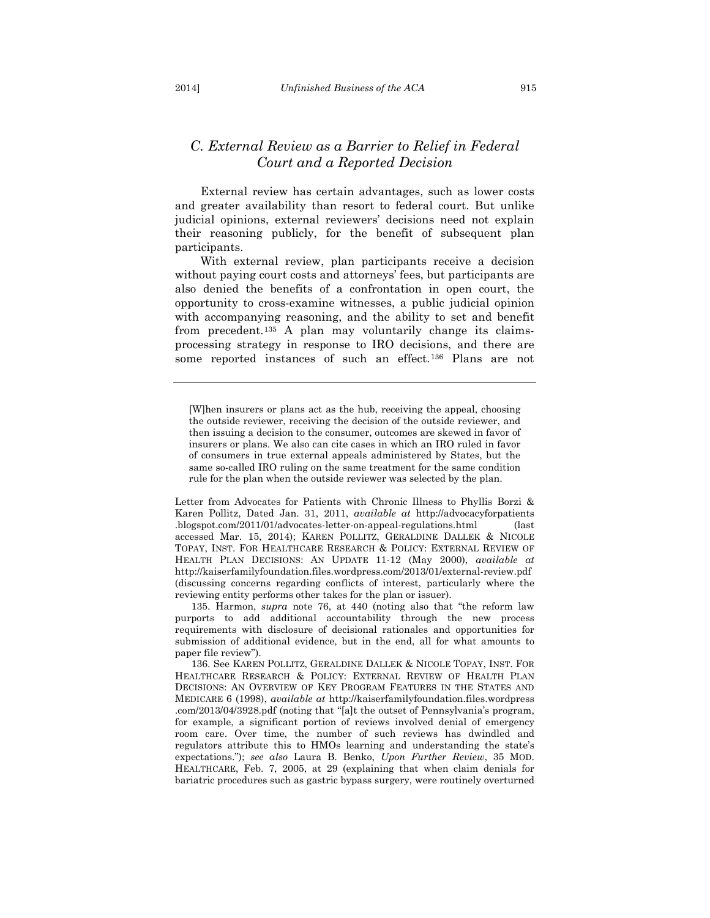## *C. External Review as a Barrier to Relief in Federal Court and a Reported Decision*

External review has certain advantages, such as lower costs and greater availability than resort to federal court. But unlike judicial opinions, external reviewers' decisions need not explain their reasoning publicly, for the benefit of subsequent plan participants.

With external review, plan participants receive a decision without paying court costs and attorneys' fees, but participants are also denied the benefits of a confrontation in open court, the opportunity to cross-examine witnesses, a public judicial opinion with accompanying reasoning, and the ability to set and benefit from precedent.[135](#page-29-0) A plan may voluntarily change its claimsprocessing strategy in response to IRO decisions, and there are some reported instances of such an effect.[136](#page-29-1) Plans are not

Letter from Advocates for Patients with Chronic Illness to Phyllis Borzi & Karen Pollitz, Dated Jan. 31, 2011, *available at* http://advocacyforpatients .blogspot.com/2011/01/advocates-letter-on-appeal-regulations.html (last accessed Mar. 15, 2014); KAREN POLLITZ, GERALDINE DALLEK & NICOLE TOPAY, INST. FOR HEALTHCARE RESEARCH & POLICY: EXTERNAL REVIEW OF HEALTH PLAN DECISIONS: AN UPDATE 11-12 (May 2000), *available at*  http://kaiserfamilyfoundation.files.wordpress.com/2013/01/external-review.pdf (discussing concerns regarding conflicts of interest, particularly where the reviewing entity performs other takes for the plan or issuer).

<span id="page-29-0"></span>135. Harmon, *supra* note [76,](#page-16-3) at 440 (noting also that "the reform law purports to add additional accountability through the new process requirements with disclosure of decisional rationales and opportunities for submission of additional evidence, but in the end, all for what amounts to paper file review").

<span id="page-29-1"></span>136. See KAREN POLLITZ, GERALDINE DALLEK & NICOLE TOPAY, INST. FOR HEALTHCARE RESEARCH & POLICY: EXTERNAL REVIEW OF HEALTH PLAN DECISIONS: AN OVERVIEW OF KEY PROGRAM FEATURES IN THE STATES AND MEDICARE 6 (1998), *available at* http://kaiserfamilyfoundation.files.wordpress .com/2013/04/3928.pdf (noting that "[a]t the outset of Pennsylvania's program, for example, a significant portion of reviews involved denial of emergency room care. Over time, the number of such reviews has dwindled and regulators attribute this to HMOs learning and understanding the state's expectations."); *see also* Laura B. Benko, *Upon Further Review*, 35 MOD. HEALTHCARE, Feb. 7, 2005, at 29 (explaining that when claim denials for bariatric procedures such as gastric bypass surgery, were routinely overturned

<sup>[</sup>W]hen insurers or plans act as the hub, receiving the appeal, choosing the outside reviewer, receiving the decision of the outside reviewer, and then issuing a decision to the consumer, outcomes are skewed in favor of insurers or plans. We also can cite cases in which an IRO ruled in favor of consumers in true external appeals administered by States, but the same so-called IRO ruling on the same treatment for the same condition rule for the plan when the outside reviewer was selected by the plan.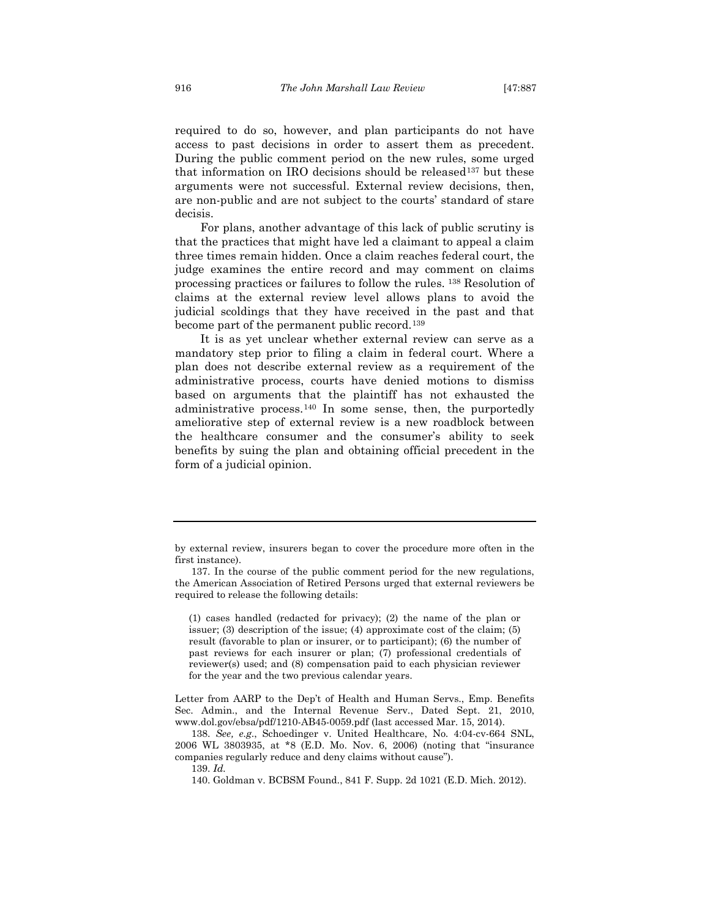required to do so, however, and plan participants do not have access to past decisions in order to assert them as precedent. During the public comment period on the new rules, some urged that information on IRO decisions should be released<sup>[137](#page-30-0)</sup> but these arguments were not successful. External review decisions, then, are non-public and are not subject to the courts' standard of stare decisis.

For plans, another advantage of this lack of public scrutiny is that the practices that might have led a claimant to appeal a claim three times remain hidden. Once a claim reaches federal court, the judge examines the entire record and may comment on claims processing practices or failures to follow the rules. [138](#page-30-1) Resolution of claims at the external review level allows plans to avoid the judicial scoldings that they have received in the past and that become part of the permanent public record.[139](#page-30-2)

It is as yet unclear whether external review can serve as a mandatory step prior to filing a claim in federal court. Where a plan does not describe external review as a requirement of the administrative process, courts have denied motions to dismiss based on arguments that the plaintiff has not exhausted the administrative process.[140](#page-30-3) In some sense, then, the purportedly ameliorative step of external review is a new roadblock between the healthcare consumer and the consumer's ability to seek benefits by suing the plan and obtaining official precedent in the form of a judicial opinion.

(1) cases handled (redacted for privacy); (2) the name of the plan or issuer; (3) description of the issue; (4) approximate cost of the claim; (5) result (favorable to plan or insurer, or to participant); (6) the number of past reviews for each insurer or plan; (7) professional credentials of reviewer(s) used; and (8) compensation paid to each physician reviewer for the year and the two previous calendar years.

Letter from AARP to the Dep't of Health and Human Servs., Emp. Benefits Sec. Admin., and the Internal Revenue Serv., Dated Sept. 21, 2010, www.dol.gov/ebsa/pdf/1210-AB45-0059.pdf (last accessed Mar. 15, 2014).

<span id="page-30-3"></span><span id="page-30-2"></span><span id="page-30-1"></span>138. *See, e.g*., Schoedinger v. United Healthcare, No. 4:04-cv-664 SNL, 2006 WL 3803935, at \*8 (E.D. Mo. Nov. 6, 2006) (noting that "insurance companies regularly reduce and deny claims without cause").

by external review, insurers began to cover the procedure more often in the first instance).

<span id="page-30-0"></span><sup>137.</sup> In the course of the public comment period for the new regulations, the American Association of Retired Persons urged that external reviewers be required to release the following details:

<sup>139.</sup> *Id.*

<sup>140.</sup> Goldman v. BCBSM Found., 841 F. Supp. 2d 1021 (E.D. Mich. 2012).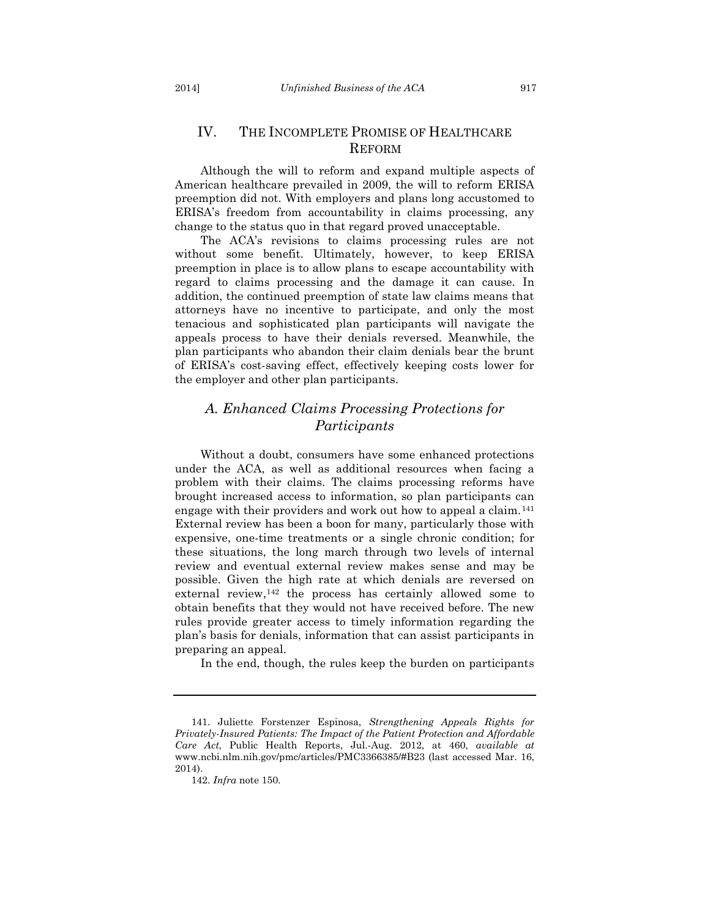## IV. THE INCOMPLETE PROMISE OF HEALTHCARE REFORM

Although the will to reform and expand multiple aspects of American healthcare prevailed in 2009, the will to reform ERISA preemption did not. With employers and plans long accustomed to ERISA's freedom from accountability in claims processing, any change to the status quo in that regard proved unacceptable.

The ACA's revisions to claims processing rules are not without some benefit. Ultimately, however, to keep ERISA preemption in place is to allow plans to escape accountability with regard to claims processing and the damage it can cause. In addition, the continued preemption of state law claims means that attorneys have no incentive to participate, and only the most tenacious and sophisticated plan participants will navigate the appeals process to have their denials reversed. Meanwhile, the plan participants who abandon their claim denials bear the brunt of ERISA's cost-saving effect, effectively keeping costs lower for the employer and other plan participants.

## *A. Enhanced Claims Processing Protections for Participants*

Without a doubt, consumers have some enhanced protections under the ACA, as well as additional resources when facing a problem with their claims. The claims processing reforms have brought increased access to information, so plan participants can engage with their providers and work out how to appeal a claim.[141](#page-31-0) External review has been a boon for many, particularly those with expensive, one-time treatments or a single chronic condition; for these situations, the long march through two levels of internal review and eventual external review makes sense and may be possible. Given the high rate at which denials are reversed on external review,<sup>[142](#page-31-1)</sup> the process has certainly allowed some to obtain benefits that they would not have received before. The new rules provide greater access to timely information regarding the plan's basis for denials, information that can assist participants in preparing an appeal.

In the end, though, the rules keep the burden on participants

<span id="page-31-1"></span><span id="page-31-0"></span><sup>141.</sup> Juliette Forstenzer Espinosa, *Strengthening Appeals Rights for Privately-Insured Patients: The Impact of the Patient Protection and Affordable Care Act*, Public Health Reports, Jul.-Aug. 2012, at 460, *available at* www.ncbi.nlm.nih.gov/pmc/articles/PMC3366385/#B23 (last accessed Mar. 16, 2014).

<sup>142.</sup> *Infra* note [150.](#page-33-0)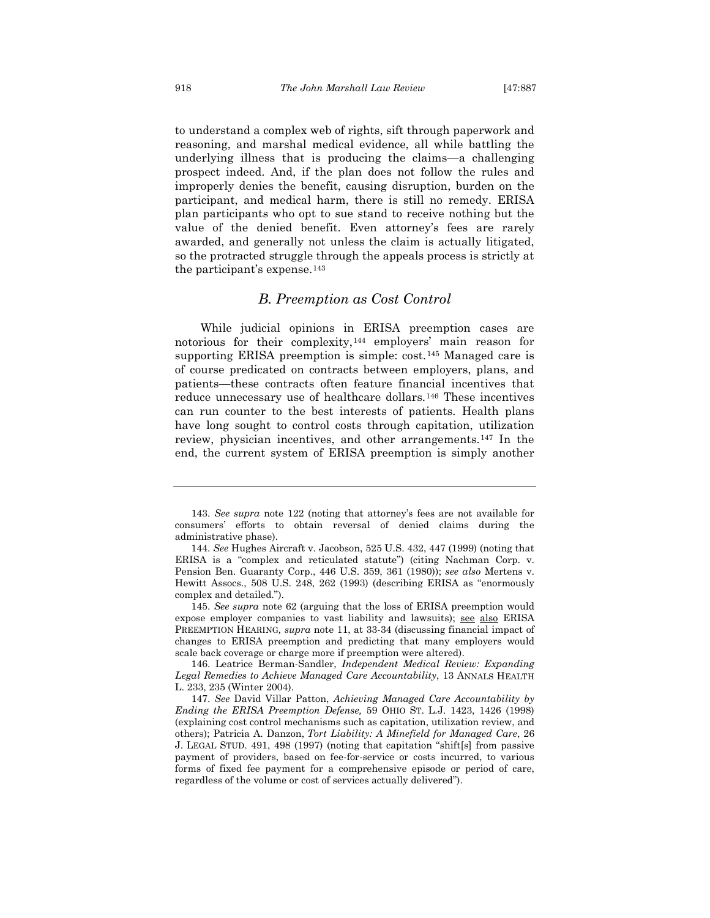to understand a complex web of rights, sift through paperwork and reasoning, and marshal medical evidence, all while battling the underlying illness that is producing the claims—a challenging prospect indeed. And, if the plan does not follow the rules and improperly denies the benefit, causing disruption, burden on the participant, and medical harm, there is still no remedy. ERISA plan participants who opt to sue stand to receive nothing but the value of the denied benefit. Even attorney's fees are rarely awarded, and generally not unless the claim is actually litigated, so the protracted struggle through the appeals process is strictly at the participant's expense.[143](#page-32-0)

#### *B. Preemption as Cost Control*

While judicial opinions in ERISA preemption cases are notorious for their complexity,[144](#page-32-1) employers' main reason for supporting ERISA preemption is simple: cost.<sup>[145](#page-32-2)</sup> Managed care is of course predicated on contracts between employers, plans, and patients—these contracts often feature financial incentives that reduce unnecessary use of healthcare dollars.[146](#page-32-3) These incentives can run counter to the best interests of patients. Health plans have long sought to control costs through capitation, utilization review, physician incentives, and other arrangements.[147](#page-32-4) In the end, the current system of ERISA preemption is simply another

<span id="page-32-2"></span>145. *See supra* note [62](#page-14-9) (arguing that the loss of ERISA preemption would expose employer companies to vast liability and lawsuits); see also ERISA PREEMPTION HEARING*, supra* note [11,](#page-5-0) at 33-34 (discussing financial impact of changes to ERISA preemption and predicting that many employers would scale back coverage or charge more if preemption were altered).

<span id="page-32-3"></span>146. Leatrice Berman-Sandler, *Independent Medical Review: Expanding Legal Remedies to Achieve Managed Care Accountability*, 13 ANNALS HEALTH L. 233, 235 (Winter 2004).

<span id="page-32-0"></span><sup>143.</sup> *See supra* note [122](#page-26-3) (noting that attorney's fees are not available for consumers' efforts to obtain reversal of denied claims during the administrative phase).

<span id="page-32-1"></span><sup>144.</sup> *See* Hughes Aircraft v. Jacobson, 525 U.S. 432, 447 (1999) (noting that ERISA is a "complex and reticulated statute") (citing Nachman Corp. v. Pension Ben. Guaranty Corp., 446 U.S. 359, 361 (1980)); *see also* Mertens v. Hewitt Assocs., 508 U.S. 248, 262 (1993) (describing ERISA as "enormously complex and detailed.").

<span id="page-32-4"></span><sup>147.</sup> *See* David Villar Patton, *Achieving Managed Care Accountability by Ending the ERISA Preemption Defense,* 59 OHIO ST. L.J. 1423, 1426 (1998) (explaining cost control mechanisms such as capitation, utilization review, and others); Patricia A. Danzon, *Tort Liability: A Minefield for Managed Care*, 26 J. LEGAL STUD. 491, 498 (1997) (noting that capitation "shift[s] from passive payment of providers, based on fee-for-service or costs incurred, to various forms of fixed fee payment for a comprehensive episode or period of care, regardless of the volume or cost of services actually delivered").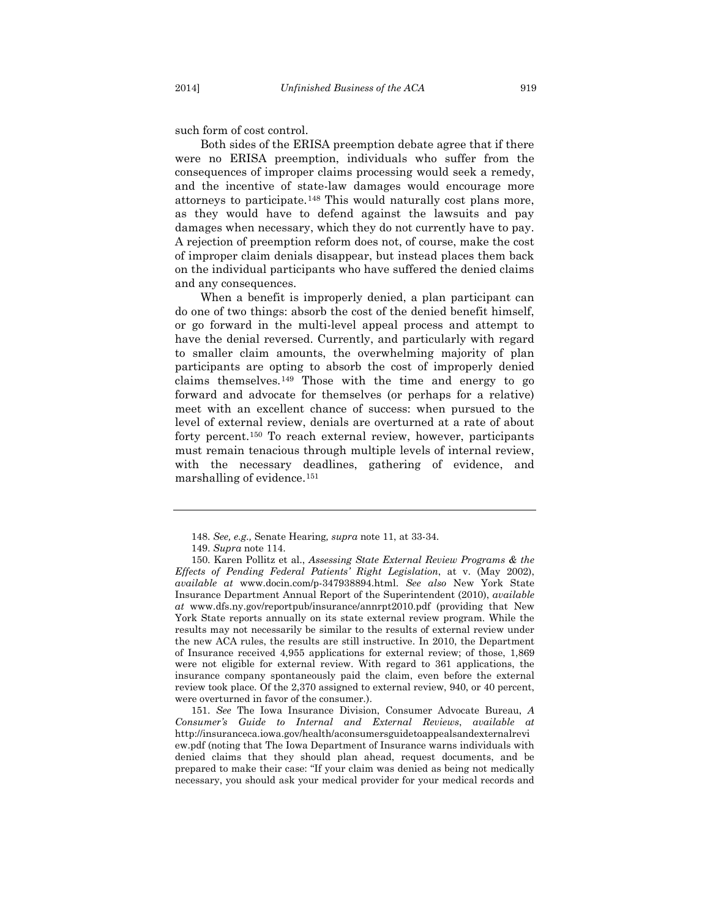such form of cost control.

Both sides of the ERISA preemption debate agree that if there were no ERISA preemption, individuals who suffer from the consequences of improper claims processing would seek a remedy, and the incentive of state-law damages would encourage more attorneys to participate.[148](#page-33-1) This would naturally cost plans more, as they would have to defend against the lawsuits and pay damages when necessary, which they do not currently have to pay. A rejection of preemption reform does not, of course, make the cost of improper claim denials disappear, but instead places them back on the individual participants who have suffered the denied claims and any consequences.

When a benefit is improperly denied, a plan participant can do one of two things: absorb the cost of the denied benefit himself, or go forward in the multi-level appeal process and attempt to have the denial reversed. Currently, and particularly with regard to smaller claim amounts, the overwhelming majority of plan participants are opting to absorb the cost of improperly denied claims themselves.[149](#page-33-2) Those with the time and energy to go forward and advocate for themselves (or perhaps for a relative) meet with an excellent chance of success: when pursued to the level of external review, denials are overturned at a rate of about forty percent.[150](#page-33-3) To reach external review, however, participants must remain tenacious through multiple levels of internal review, with the necessary deadlines, gathering of evidence, and marshalling of evidence.[151](#page-33-4)

<span id="page-33-4"></span>151. *See* The Iowa Insurance Division, Consumer Advocate Bureau, *A Consumer's Guide to Internal and External Reviews*, *available at* http://insuranceca.iowa.gov/health/aconsumersguidetoappealsandexternalrevi ew.pdf (noting that The Iowa Department of Insurance warns individuals with denied claims that they should plan ahead, request documents, and be prepared to make their case: "If your claim was denied as being not medically necessary, you should ask your medical provider for your medical records and

<span id="page-33-0"></span><sup>148.</sup> *See, e.g.,* Senate Hearing*, supra* note [11,](#page-5-0) at 33-34.

<sup>149.</sup> *Supra* note [114.](#page-24-5)

<span id="page-33-3"></span><span id="page-33-2"></span><span id="page-33-1"></span><sup>150.</sup> Karen Pollitz et al., *Assessing State External Review Programs & the Effects of Pending Federal Patients' Right Legislation*, at v. (May 2002), *available at* www.docin.com/p-347938894.html. *See also* New York State Insurance Department Annual Report of the Superintendent (2010), *available at* www.dfs.ny.gov/reportpub/insurance/annrpt2010.pdf (providing that New York State reports annually on its state external review program. While the results may not necessarily be similar to the results of external review under the new ACA rules, the results are still instructive. In 2010, the Department of Insurance received 4,955 applications for external review; of those, 1,869 were not eligible for external review. With regard to 361 applications, the insurance company spontaneously paid the claim, even before the external review took place. Of the 2,370 assigned to external review, 940, or 40 percent, were overturned in favor of the consumer.).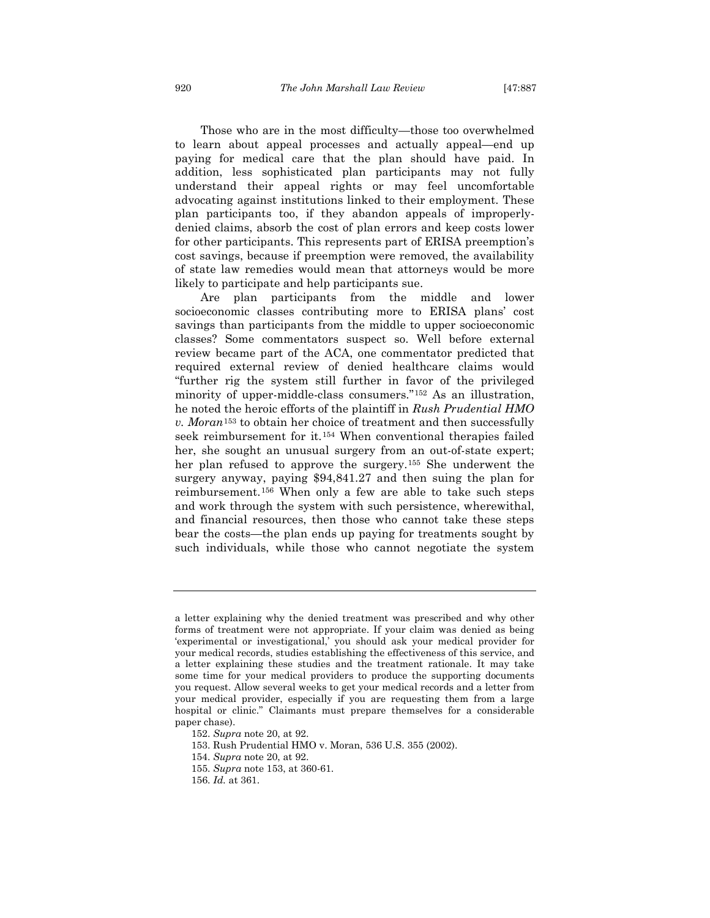Those who are in the most difficulty—those too overwhelmed to learn about appeal processes and actually appeal—end up paying for medical care that the plan should have paid. In addition, less sophisticated plan participants may not fully understand their appeal rights or may feel uncomfortable advocating against institutions linked to their employment. These plan participants too, if they abandon appeals of improperlydenied claims, absorb the cost of plan errors and keep costs lower for other participants. This represents part of ERISA preemption's cost savings, because if preemption were removed, the availability of state law remedies would mean that attorneys would be more likely to participate and help participants sue.

<span id="page-34-0"></span>Are plan participants from the middle and lower socioeconomic classes contributing more to ERISA plans' cost savings than participants from the middle to upper socioeconomic classes? Some commentators suspect so. Well before external review became part of the ACA, one commentator predicted that required external review of denied healthcare claims would "further rig the system still further in favor of the privileged minority of upper-middle-class consumers."[152](#page-34-1) As an illustration, he noted the heroic efforts of the plaintiff in *Rush Prudential HMO v. Moran*[153](#page-34-2) to obtain her choice of treatment and then successfully seek reimbursement for it.[154](#page-34-3) When conventional therapies failed her, she sought an unusual surgery from an out-of-state expert; her plan refused to approve the surgery.[155](#page-34-4) She underwent the surgery anyway, paying \$94,841.27 and then suing the plan for reimbursement.[156](#page-34-5) When only a few are able to take such steps and work through the system with such persistence, wherewithal, and financial resources, then those who cannot take these steps bear the costs—the plan ends up paying for treatments sought by such individuals, while those who cannot negotiate the system

a letter explaining why the denied treatment was prescribed and why other forms of treatment were not appropriate. If your claim was denied as being 'experimental or investigational,' you should ask your medical provider for your medical records, studies establishing the effectiveness of this service, and a letter explaining these studies and the treatment rationale. It may take some time for your medical providers to produce the supporting documents you request. Allow several weeks to get your medical records and a letter from your medical provider, especially if you are requesting them from a large hospital or clinic." Claimants must prepare themselves for a considerable paper chase).

<span id="page-34-1"></span><sup>152.</sup> *Supra* note [20,](#page-6-5) at 92.

<span id="page-34-2"></span><sup>153.</sup> Rush Prudential HMO v. Moran, 536 U.S. 355 (2002).

<span id="page-34-3"></span><sup>154.</sup> *Supra* note [20,](#page-6-5) at 92.

<span id="page-34-4"></span><sup>155.</sup> *Supra* note [153,](#page-34-0) at 360-61.

<span id="page-34-5"></span><sup>156.</sup> *Id.* at 361.